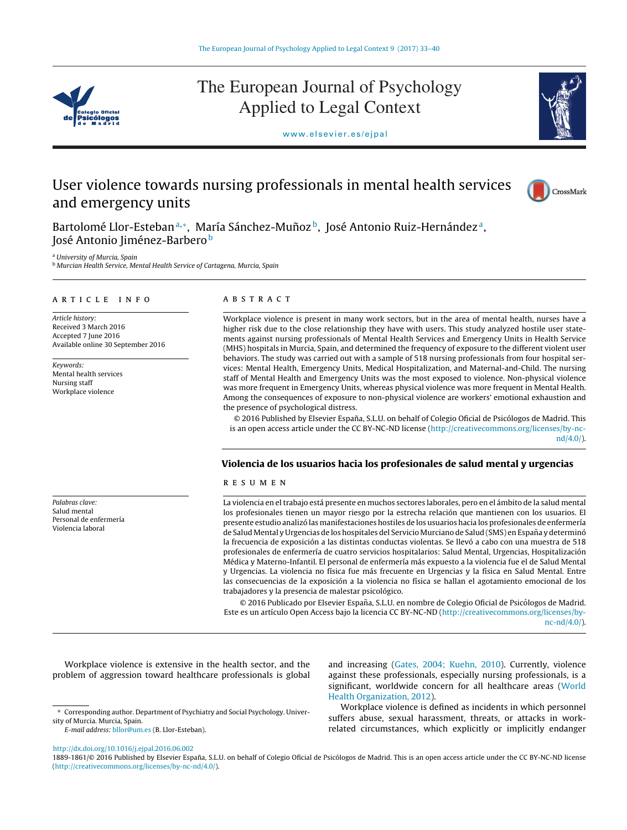

# The European Journal of Psychology Applied to Legal Context



<www.elsevier.es/ejpal>

## User violence towards nursing professionals in mental health services and emergency units



Bartolomé Llor-Esteban<sup>a,∗</sup>, María Sánchez-Muñoz<sup>b</sup>, José Antonio Ruiz-Hernández<sup>a</sup>, José Antonio Jiménez-Barbero b

<sup>a</sup> University of Murcia, Spain

**b Murcian Health Service, Mental Health Service of Cartagena, Murcia, Spain** 

## a r t i c l e i n f o

Article history: Received 3 March 2016 Accepted 7 June 2016 Available online 30 September 2016

Keywords: Mental health services Nursing staff Workplace violence

Palabras clave: Salud mental Personal de enfermería Violencia laboral

## A B S T R A C T

Workplace violence is present in many work sectors, but in the area of mental health, nurses have a higher risk due to the close relationship they have with users. This study analyzed hostile user statements against nursing professionals of Mental Health Services and Emergency Units in Health Service (MHS) hospitals in Murcia, Spain, and determined the frequency of exposure to the different violent user behaviors. The study was carried out with a sample of 518 nursing professionals from four hospital services: Mental Health, Emergency Units, Medical Hospitalization, and Maternal-and-Child. The nursing staff of Mental Health and Emergency Units was the most exposed to violence. Non-physical violence was more frequent in Emergency Units, whereas physical violence was more frequent in Mental Health. Among the consequences of exposure to non-physical violence are workers' emotional exhaustion and the presence of psychological distress.

© 2016 Published by Elsevier España, S.L.U. on behalf of Colegio Oficial de Psicólogos de Madrid. This is an open access article under the CC BY-NC-ND license [\(http://creativecommons.org/licenses/by-nc](http://creativecommons.org/licenses/by-nc-nd/4.0/)[nd/4.0/](http://creativecommons.org/licenses/by-nc-nd/4.0/)).

## **Violencia de los usuarios hacia los profesionales de salud mental y urgencias**

## r e s u m e n

La violencia en eltrabajo está presente en muchos sectores laborales, pero en el ámbito de la salud mental los profesionales tienen un mayor riesgo por la estrecha relación que mantienen con los usuarios. El presente estudio analizó las manifestaciones hostiles de los usuarios hacia los profesionales de enfermería de Salud Mental y Urgencias de los hospitales del Servicio Murciano de Salud (SMS) en España y determinó la frecuencia de exposición a las distintas conductas violentas. Se llevó a cabo con una muestra de 518 profesionales de enfermería de cuatro servicios hospitalarios: Salud Mental, Urgencias, Hospitalización Médica y Materno-Infantil. El personal de enfermería más expuesto a la violencia fue el de Salud Mental y Urgencias. La violencia no física fue más frecuente en Urgencias y la física en Salud Mental. Entre las consecuencias de la exposición a la violencia no física se hallan el agotamiento emocional de los trabajadores y la presencia de malestar psicológico.

© 2016 Publicado por Elsevier España, S.L.U. en nombre de Colegio Oficial de Psicólogos de Madrid. Este es un artículo Open Access bajo la licencia CC BY-NC-ND [\(http://creativecommons.org/licenses/by](http://creativecommons.org/licenses/by-nc-nd/4.0/)[nc-nd/4.0/](http://creativecommons.org/licenses/by-nc-nd/4.0/)).

Workplace violence is extensive in the health sector, and the problem of aggression toward healthcare professionals is global

E-mail address: [bllor@um.es](mailto:bllor@um.es) (B. Llor-Esteban).

and increasing ([Gates,](#page-6-0) [2004;](#page-6-0) [Kuehn,](#page-6-0) [2010\).](#page-6-0) Currently, violence against these professionals, especially nursing professionals, is a significant, worldwide concern for all healthcare areas ([World](#page-7-0) [Health](#page-7-0) [Organization,](#page-7-0) [2012\).](#page-7-0)

Workplace violence is defined as incidents in which personnel suffers abuse, sexual harassment, threats, or attacks in workrelated circumstances, which explicitly or implicitly endanger

[http://dx.doi.org/10.1016/j.ejpal.2016.06.002](dx.doi.org/10.1016/j.ejpal.2016.06.002)

1889-1861/© 2016 Published by Elsevier España, S.L.U. on behalf of Colegio Oficial de Psicólogos de Madrid. This is an open access article under the CC BY-NC-ND license [\(http://creativecommons.org/licenses/by-nc-nd/4.0/\)](http://creativecommons.org/licenses/by-nc-nd/4.0/).

<sup>∗</sup> Corresponding author. Department of Psychiatry and Social Psychology. University of Murcia. Murcia, Spain.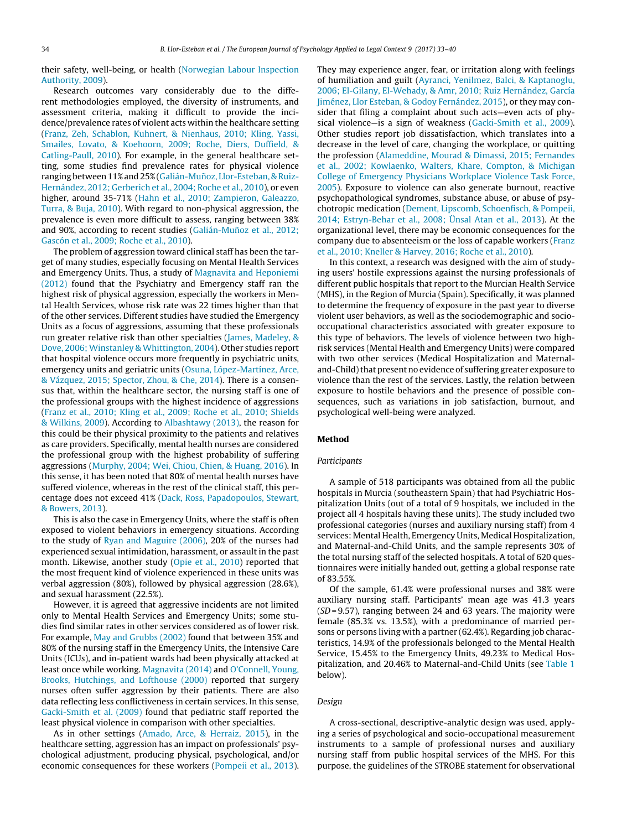their safety, well-being, or health [\(Norwegian](#page-6-0) [Labour](#page-6-0) [Inspection](#page-6-0) [Authority,](#page-6-0) [2009\).](#page-6-0)

Research outcomes vary considerably due to the different methodologies employed, the diversity of instruments, and assessment criteria, making it difficult to provide the incidence/prevalence rates of violent acts within the healthcare setting ([Franz,](#page-6-0) [Zeh,](#page-6-0) [Schablon,](#page-6-0) [Kuhnert,](#page-6-0) [&](#page-6-0) [Nienhaus,](#page-6-0) [2010;](#page-6-0) [Kling,](#page-6-0) [Yassi,](#page-6-0) [Smailes,](#page-6-0) [Lovato,](#page-6-0) [&](#page-6-0) [Koehoorn,](#page-6-0) [2009;](#page-6-0) [Roche,](#page-6-0) [Diers,](#page-6-0) [Duffield,](#page-6-0) [&](#page-6-0) [Catling-Paull,](#page-6-0) [2010\).](#page-6-0) For example, in the general healthcare setting, some studies find prevalence rates for physical violence ranging between 11% and 25% (Galián-Muñoz, [Llor-Esteban,](#page-6-0) [&](#page-6-0) Ruiz-Hernández, [2012;](#page-6-0) [Gerberich](#page-6-0) et [al.,](#page-6-0) [2004;](#page-6-0) [Roche](#page-6-0) et [al.,](#page-6-0) [2010\),](#page-6-0) or even higher, around 35-71% ([Hahn](#page-6-0) et [al.,](#page-6-0) [2010;](#page-6-0) [Zampieron,](#page-6-0) [Galeazzo,](#page-6-0) [Turra,](#page-6-0) [&](#page-6-0) [Buja,](#page-6-0) [2010\).](#page-6-0) With regard to non-physical aggression, the prevalence is even more difficult to assess, ranging between 38% and 90%, according to recent studies (Galián-Muñoz et [al.,](#page-6-0) [2012;](#page-6-0) [Gascón](#page-6-0) et [al.,](#page-6-0) [2009;](#page-6-0) [Roche](#page-6-0) et [al.,](#page-6-0) [2010\).](#page-6-0)

The problem of aggression toward clinical staff has been the target of many studies, especially focusing on Mental Health Services and Emergency Units. Thus, a study of [Magnavita](#page-6-0) [and](#page-6-0) [Heponiemi](#page-6-0) [\(2012\)](#page-6-0) found that the Psychiatry and Emergency staff ran the highest risk of physical aggression, especially the workers in Mental Health Services, whose risk rate was 22 times higher than that of the other services. Different studies have studied the Emergency Units as a focus of aggressions, assuming that these professionals run greater relative risk than other specialties ([James,](#page-6-0) [Madeley,](#page-6-0) [&](#page-6-0) [Dove,](#page-6-0) [2006;](#page-6-0) [Winstanley](#page-6-0) [&](#page-6-0) [Whittington,](#page-6-0) [2004\).](#page-6-0) Other studies report that hospital violence occurs more frequently in psychiatric units, emergency units and geriatric units [\(Osuna,](#page-6-0) [López-Martínez,](#page-6-0) [Arce,](#page-6-0) [&](#page-6-0) [Vázquez,](#page-6-0) [2015;](#page-6-0) [Spector,](#page-6-0) [Zhou,](#page-6-0) [&](#page-6-0) [Che,](#page-6-0) [2014\).](#page-6-0) There is a consensus that, within the healthcare sector, the nursing staff is one of the professional groups with the highest incidence of aggressions ([Franz](#page-6-0) et [al.,](#page-6-0) [2010;](#page-6-0) [Kling](#page-6-0) et [al.,](#page-6-0) [2009;](#page-6-0) [Roche](#page-6-0) et [al.,](#page-6-0) [2010;](#page-6-0) [Shields](#page-6-0) [&](#page-6-0) [Wilkins,](#page-6-0) [2009\).](#page-6-0) According to [Albashtawy](#page-6-0) [\(2013\),](#page-6-0) the reason for this could be their physical proximity to the patients and relatives as care providers. Specifically, mental health nurses are considered the professional group with the highest probability of suffering aggressions ([Murphy,](#page-6-0) [2004;](#page-6-0) [Wei,](#page-6-0) [Chiou,](#page-6-0) [Chien,](#page-6-0) [&](#page-6-0) [Huang,](#page-6-0) [2016\).](#page-6-0) In this sense, it has been noted that 80% of mental health nurses have suffered violence, whereas in the rest of the clinical staff, this percentage does not exceed 41% [\(Dack,](#page-6-0) [Ross,](#page-6-0) [Papadopoulos,](#page-6-0) [Stewart,](#page-6-0) [&](#page-6-0) [Bowers,](#page-6-0) [2013\).](#page-6-0)

This is also the case in Emergency Units, where the staff is often exposed to violent behaviors in emergency situations. According to the study of [Ryan](#page-6-0) [and](#page-6-0) [Maguire](#page-6-0) [\(2006\),](#page-6-0) 20% of the nurses had experienced sexual intimidation, harassment, or assault in the past month. Likewise, another study [\(Opie](#page-6-0) et [al.,](#page-6-0) [2010\)](#page-6-0) reported that the most frequent kind of violence experienced in these units was verbal aggression (80%), followed by physical aggression (28.6%), and sexual harassment (22.5%).

However, it is agreed that aggressive incidents are not limited only to Mental Health Services and Emergency Units; some studies find similar rates in other services considered as of lower risk. For example, [May](#page-6-0) [and](#page-6-0) [Grubbs](#page-6-0) [\(2002\)](#page-6-0) found that between 35% and 80% of the nursing staff in the Emergency Units, the Intensive Care Units (ICUs), and in-patient wards had been physically attacked at least once while working. [Magnavita](#page-6-0) [\(2014\)](#page-6-0) and [O'Connell,](#page-6-0) [Young,](#page-6-0) [Brooks,](#page-6-0) [Hutchings,](#page-6-0) [and](#page-6-0) [Lofthouse](#page-6-0) [\(2000\)](#page-6-0) reported that surgery nurses often suffer aggression by their patients. There are also data reflecting less conflictiveness in certain services. In this sense, [Gacki-Smith](#page-6-0) et [al.](#page-6-0) [\(2009\)](#page-6-0) found that pediatric staff reported the least physical violence in comparison with other specialties.

As in other settings ([Amado,](#page-6-0) [Arce,](#page-6-0) [&](#page-6-0) [Herraiz,](#page-6-0) [2015\),](#page-6-0) in the healthcare setting, aggression has an impact on professionals' psychological adjustment, producing physical, psychological, and/or economic consequences for these workers [\(Pompeii](#page-6-0) et [al.,](#page-6-0) [2013\).](#page-6-0)

They may experience anger, fear, or irritation along with feelings of humiliation and guilt ([Ayranci,](#page-6-0) [Yenilmez,](#page-6-0) [Balci,](#page-6-0) [&](#page-6-0) [Kaptanoglu,](#page-6-0) [2006;](#page-6-0) [El-Gilany,](#page-6-0) [El-Wehady,](#page-6-0) [&](#page-6-0) [Amr,](#page-6-0) [2010;](#page-6-0) [Ruiz](#page-6-0) [Hernández,](#page-6-0) [García](#page-6-0) [Jiménez,](#page-6-0) [Llor](#page-6-0) [Esteban,](#page-6-0) [&](#page-6-0) [Godoy](#page-6-0) [Fernández,](#page-6-0) [2015\),](#page-6-0) or they may consider that filing a complaint about such acts—even acts of phy-sical violence-is a sign of weakness ([Gacki-Smith](#page-6-0) et [al.,](#page-6-0) [2009\).](#page-6-0) Other studies report job dissatisfaction, which translates into a decrease in the level of care, changing the workplace, or quitting the profession [\(Alameddine,](#page-5-0) [Mourad](#page-5-0) [&](#page-5-0) [Dimassi,](#page-5-0) [2015;](#page-5-0) [Fernandes](#page-5-0) et [al.,](#page-5-0) [2002;](#page-5-0) [Kowlaenko,](#page-5-0) [Walters,](#page-5-0) [Khare,](#page-5-0) [Compton,](#page-5-0) [&](#page-5-0) [Michigan](#page-5-0) [College](#page-6-0) [of](#page-5-0) [Emergency](#page-5-0) [Physicians](#page-5-0) [Workplace](#page-5-0) [Violence](#page-5-0) [Task](#page-5-0) [Force,](#page-5-0) [2005\).](#page-5-0) Exposure to violence can also generate burnout, reactive psychopathological syndromes, substance abuse, or abuse of psychotropic medication ([Dement,](#page-6-0) [Lipscomb,](#page-6-0) [Schoenfisch,](#page-6-0) [&](#page-6-0) [Pompeii,](#page-6-0) [2014;](#page-6-0) [Estryn-Behar](#page-6-0) et [al.,](#page-6-0) [2008;](#page-6-0) [Ünsal](#page-6-0) [Atan](#page-6-0) et [al.,](#page-6-0) [2013\).](#page-6-0) At the organizational level, there may be economic consequences for the company due to absenteeism or the loss of capable workers ([Franz](#page-6-0) et [al.,](#page-6-0) [2010;](#page-6-0) [Kneller](#page-6-0) [&](#page-6-0) [Harvey,](#page-6-0) [2016;](#page-6-0) [Roche](#page-6-0) et [al.,](#page-6-0) [2010\).](#page-6-0)

In this context, a research was designed with the aim of studying users' hostile expressions against the nursing professionals of different public hospitals that report to the Murcian Health Service (MHS), in the Region of Murcia (Spain). Specifically, it was planned to determine the frequency of exposure in the past year to diverse violent user behaviors, as well as the sociodemographic and sociooccupational characteristics associated with greater exposure to this type of behaviors. The levels of violence between two highrisk services (Mental Health and Emergency Units) were compared with two other services (Medical Hospitalization and Maternaland-Child) that present no evidence of suffering greater exposure to violence than the rest of the services. Lastly, the relation between exposure to hostile behaviors and the presence of possible consequences, such as variations in job satisfaction, burnout, and psychological well-being were analyzed.

## **Method**

## Participants

A sample of 518 participants was obtained from all the public hospitals in Murcia (southeastern Spain) that had Psychiatric Hospitalization Units (out of a total of 9 hospitals, we included in the project all 4 hospitals having these units). The study included two professional categories (nurses and auxiliary nursing staff) from 4 services: Mental Health, Emergency Units, Medical Hospitalization, and Maternal-and-Child Units, and the sample represents 30% of the total nursing staff of the selected hospitals. A total of 620 questionnaires were initially handed out, getting a global response rate of 83.55%.

Of the sample, 61.4% were professional nurses and 38% were auxiliary nursing staff. Participants' mean age was 41.3 years  $(SD = 9.57)$ , ranging between 24 and 63 years. The majority were female (85.3% vs. 13.5%), with a predominance of married persons or persons living with a partner (62.4%). Regarding job characteristics, 14.9% of the professionals belonged to the Mental Health Service, 15.45% to the Emergency Units, 49.23% to Medical Hospitalization, and 20.46% to Maternal-and-Child Units (see [Table](#page-2-0) 1 below).

#### Design

A cross-sectional, descriptive-analytic design was used, applying a series of psychological and socio-occupational measurement instruments to a sample of professional nurses and auxiliary nursing staff from public hospital services of the MHS. For this purpose, the guidelines of the STROBE statement for observational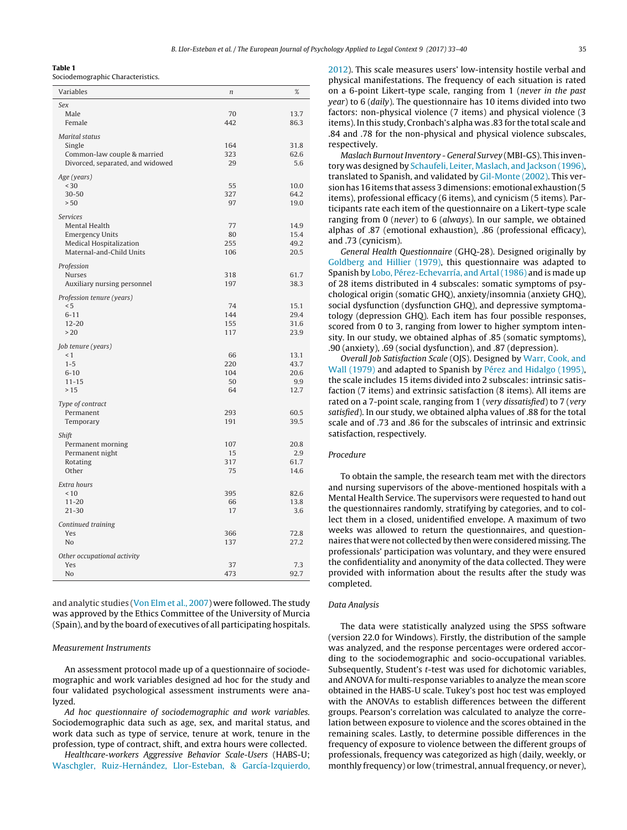#### <span id="page-2-0"></span>**Table 1**

Sociodemographic Characteristics.

| Sex<br>70<br>Male<br>13.7<br>442<br>Female<br>86.3<br>Marital status<br>Single<br>164<br>31.8<br>323<br>62.6<br>Common-law couple & married<br>Divorced, separated, and widowed<br>29<br>5.6<br>Age (years)<br>30<br>55<br>10.0<br>$30 - 50$<br>327<br>64.2<br>> 50<br>97<br>19.0<br>Services<br>77<br>Mental Health<br>14.9<br><b>Emergency Units</b><br>80<br>15.4<br>Medical Hospitalization<br>255<br>49.2<br>Maternal-and-Child Units<br>20.5<br>106<br>Profession<br><b>Nurses</b><br>61.7<br>318<br>Auxiliary nursing personnel<br>197<br>38.3<br>Profession tenure (years)<br>< 5<br>74<br>15.1<br>$6 - 11$<br>144<br>29.4<br>$12 - 20$<br>155<br>31.6<br>>20<br>117<br>23.9<br>Job tenure (years)<br>$\leq 1$<br>66<br>13.1<br>$1 - 5$<br>220<br>43.7<br>$6 - 10$<br>104<br>20.6<br>$11 - 15$<br>50<br>9.9<br>>15<br>64<br>12.7<br>Type of contract<br>Permanent<br>293<br>60.5<br>191<br>39.5<br>Temporary<br>Shift<br>Permanent morning<br>107<br>20.8<br>Permanent night<br>15<br>2.9<br>317<br>61.7<br>Rotating<br>Other<br>75<br>14.6<br>Extra hours<br>395<br>< 10<br>82.6<br>$11 - 20$<br>13.8<br>66<br>$21 - 30$<br>17<br>3.6<br>Continued training<br>Yes<br>366<br>72.8<br>N <sub>o</sub><br>137<br>27.2<br>Other occupational activity<br>Yes<br>37<br>7.3<br>No<br>473<br>92.7 | Variables | $\boldsymbol{n}$ | % |
|-----------------------------------------------------------------------------------------------------------------------------------------------------------------------------------------------------------------------------------------------------------------------------------------------------------------------------------------------------------------------------------------------------------------------------------------------------------------------------------------------------------------------------------------------------------------------------------------------------------------------------------------------------------------------------------------------------------------------------------------------------------------------------------------------------------------------------------------------------------------------------------------------------------------------------------------------------------------------------------------------------------------------------------------------------------------------------------------------------------------------------------------------------------------------------------------------------------------------------------------------------------------------------------------------------|-----------|------------------|---|
|                                                                                                                                                                                                                                                                                                                                                                                                                                                                                                                                                                                                                                                                                                                                                                                                                                                                                                                                                                                                                                                                                                                                                                                                                                                                                                     |           |                  |   |
|                                                                                                                                                                                                                                                                                                                                                                                                                                                                                                                                                                                                                                                                                                                                                                                                                                                                                                                                                                                                                                                                                                                                                                                                                                                                                                     |           |                  |   |
|                                                                                                                                                                                                                                                                                                                                                                                                                                                                                                                                                                                                                                                                                                                                                                                                                                                                                                                                                                                                                                                                                                                                                                                                                                                                                                     |           |                  |   |
|                                                                                                                                                                                                                                                                                                                                                                                                                                                                                                                                                                                                                                                                                                                                                                                                                                                                                                                                                                                                                                                                                                                                                                                                                                                                                                     |           |                  |   |
|                                                                                                                                                                                                                                                                                                                                                                                                                                                                                                                                                                                                                                                                                                                                                                                                                                                                                                                                                                                                                                                                                                                                                                                                                                                                                                     |           |                  |   |
|                                                                                                                                                                                                                                                                                                                                                                                                                                                                                                                                                                                                                                                                                                                                                                                                                                                                                                                                                                                                                                                                                                                                                                                                                                                                                                     |           |                  |   |
|                                                                                                                                                                                                                                                                                                                                                                                                                                                                                                                                                                                                                                                                                                                                                                                                                                                                                                                                                                                                                                                                                                                                                                                                                                                                                                     |           |                  |   |
|                                                                                                                                                                                                                                                                                                                                                                                                                                                                                                                                                                                                                                                                                                                                                                                                                                                                                                                                                                                                                                                                                                                                                                                                                                                                                                     |           |                  |   |
|                                                                                                                                                                                                                                                                                                                                                                                                                                                                                                                                                                                                                                                                                                                                                                                                                                                                                                                                                                                                                                                                                                                                                                                                                                                                                                     |           |                  |   |
|                                                                                                                                                                                                                                                                                                                                                                                                                                                                                                                                                                                                                                                                                                                                                                                                                                                                                                                                                                                                                                                                                                                                                                                                                                                                                                     |           |                  |   |
|                                                                                                                                                                                                                                                                                                                                                                                                                                                                                                                                                                                                                                                                                                                                                                                                                                                                                                                                                                                                                                                                                                                                                                                                                                                                                                     |           |                  |   |
|                                                                                                                                                                                                                                                                                                                                                                                                                                                                                                                                                                                                                                                                                                                                                                                                                                                                                                                                                                                                                                                                                                                                                                                                                                                                                                     |           |                  |   |
|                                                                                                                                                                                                                                                                                                                                                                                                                                                                                                                                                                                                                                                                                                                                                                                                                                                                                                                                                                                                                                                                                                                                                                                                                                                                                                     |           |                  |   |
|                                                                                                                                                                                                                                                                                                                                                                                                                                                                                                                                                                                                                                                                                                                                                                                                                                                                                                                                                                                                                                                                                                                                                                                                                                                                                                     |           |                  |   |
|                                                                                                                                                                                                                                                                                                                                                                                                                                                                                                                                                                                                                                                                                                                                                                                                                                                                                                                                                                                                                                                                                                                                                                                                                                                                                                     |           |                  |   |
|                                                                                                                                                                                                                                                                                                                                                                                                                                                                                                                                                                                                                                                                                                                                                                                                                                                                                                                                                                                                                                                                                                                                                                                                                                                                                                     |           |                  |   |
|                                                                                                                                                                                                                                                                                                                                                                                                                                                                                                                                                                                                                                                                                                                                                                                                                                                                                                                                                                                                                                                                                                                                                                                                                                                                                                     |           |                  |   |
|                                                                                                                                                                                                                                                                                                                                                                                                                                                                                                                                                                                                                                                                                                                                                                                                                                                                                                                                                                                                                                                                                                                                                                                                                                                                                                     |           |                  |   |
|                                                                                                                                                                                                                                                                                                                                                                                                                                                                                                                                                                                                                                                                                                                                                                                                                                                                                                                                                                                                                                                                                                                                                                                                                                                                                                     |           |                  |   |
|                                                                                                                                                                                                                                                                                                                                                                                                                                                                                                                                                                                                                                                                                                                                                                                                                                                                                                                                                                                                                                                                                                                                                                                                                                                                                                     |           |                  |   |
|                                                                                                                                                                                                                                                                                                                                                                                                                                                                                                                                                                                                                                                                                                                                                                                                                                                                                                                                                                                                                                                                                                                                                                                                                                                                                                     |           |                  |   |
|                                                                                                                                                                                                                                                                                                                                                                                                                                                                                                                                                                                                                                                                                                                                                                                                                                                                                                                                                                                                                                                                                                                                                                                                                                                                                                     |           |                  |   |
|                                                                                                                                                                                                                                                                                                                                                                                                                                                                                                                                                                                                                                                                                                                                                                                                                                                                                                                                                                                                                                                                                                                                                                                                                                                                                                     |           |                  |   |
|                                                                                                                                                                                                                                                                                                                                                                                                                                                                                                                                                                                                                                                                                                                                                                                                                                                                                                                                                                                                                                                                                                                                                                                                                                                                                                     |           |                  |   |
|                                                                                                                                                                                                                                                                                                                                                                                                                                                                                                                                                                                                                                                                                                                                                                                                                                                                                                                                                                                                                                                                                                                                                                                                                                                                                                     |           |                  |   |
|                                                                                                                                                                                                                                                                                                                                                                                                                                                                                                                                                                                                                                                                                                                                                                                                                                                                                                                                                                                                                                                                                                                                                                                                                                                                                                     |           |                  |   |
|                                                                                                                                                                                                                                                                                                                                                                                                                                                                                                                                                                                                                                                                                                                                                                                                                                                                                                                                                                                                                                                                                                                                                                                                                                                                                                     |           |                  |   |
|                                                                                                                                                                                                                                                                                                                                                                                                                                                                                                                                                                                                                                                                                                                                                                                                                                                                                                                                                                                                                                                                                                                                                                                                                                                                                                     |           |                  |   |
|                                                                                                                                                                                                                                                                                                                                                                                                                                                                                                                                                                                                                                                                                                                                                                                                                                                                                                                                                                                                                                                                                                                                                                                                                                                                                                     |           |                  |   |
|                                                                                                                                                                                                                                                                                                                                                                                                                                                                                                                                                                                                                                                                                                                                                                                                                                                                                                                                                                                                                                                                                                                                                                                                                                                                                                     |           |                  |   |
|                                                                                                                                                                                                                                                                                                                                                                                                                                                                                                                                                                                                                                                                                                                                                                                                                                                                                                                                                                                                                                                                                                                                                                                                                                                                                                     |           |                  |   |
|                                                                                                                                                                                                                                                                                                                                                                                                                                                                                                                                                                                                                                                                                                                                                                                                                                                                                                                                                                                                                                                                                                                                                                                                                                                                                                     |           |                  |   |
|                                                                                                                                                                                                                                                                                                                                                                                                                                                                                                                                                                                                                                                                                                                                                                                                                                                                                                                                                                                                                                                                                                                                                                                                                                                                                                     |           |                  |   |
|                                                                                                                                                                                                                                                                                                                                                                                                                                                                                                                                                                                                                                                                                                                                                                                                                                                                                                                                                                                                                                                                                                                                                                                                                                                                                                     |           |                  |   |
|                                                                                                                                                                                                                                                                                                                                                                                                                                                                                                                                                                                                                                                                                                                                                                                                                                                                                                                                                                                                                                                                                                                                                                                                                                                                                                     |           |                  |   |
|                                                                                                                                                                                                                                                                                                                                                                                                                                                                                                                                                                                                                                                                                                                                                                                                                                                                                                                                                                                                                                                                                                                                                                                                                                                                                                     |           |                  |   |
|                                                                                                                                                                                                                                                                                                                                                                                                                                                                                                                                                                                                                                                                                                                                                                                                                                                                                                                                                                                                                                                                                                                                                                                                                                                                                                     |           |                  |   |
|                                                                                                                                                                                                                                                                                                                                                                                                                                                                                                                                                                                                                                                                                                                                                                                                                                                                                                                                                                                                                                                                                                                                                                                                                                                                                                     |           |                  |   |
|                                                                                                                                                                                                                                                                                                                                                                                                                                                                                                                                                                                                                                                                                                                                                                                                                                                                                                                                                                                                                                                                                                                                                                                                                                                                                                     |           |                  |   |
|                                                                                                                                                                                                                                                                                                                                                                                                                                                                                                                                                                                                                                                                                                                                                                                                                                                                                                                                                                                                                                                                                                                                                                                                                                                                                                     |           |                  |   |
|                                                                                                                                                                                                                                                                                                                                                                                                                                                                                                                                                                                                                                                                                                                                                                                                                                                                                                                                                                                                                                                                                                                                                                                                                                                                                                     |           |                  |   |
|                                                                                                                                                                                                                                                                                                                                                                                                                                                                                                                                                                                                                                                                                                                                                                                                                                                                                                                                                                                                                                                                                                                                                                                                                                                                                                     |           |                  |   |
|                                                                                                                                                                                                                                                                                                                                                                                                                                                                                                                                                                                                                                                                                                                                                                                                                                                                                                                                                                                                                                                                                                                                                                                                                                                                                                     |           |                  |   |
|                                                                                                                                                                                                                                                                                                                                                                                                                                                                                                                                                                                                                                                                                                                                                                                                                                                                                                                                                                                                                                                                                                                                                                                                                                                                                                     |           |                  |   |
|                                                                                                                                                                                                                                                                                                                                                                                                                                                                                                                                                                                                                                                                                                                                                                                                                                                                                                                                                                                                                                                                                                                                                                                                                                                                                                     |           |                  |   |
|                                                                                                                                                                                                                                                                                                                                                                                                                                                                                                                                                                                                                                                                                                                                                                                                                                                                                                                                                                                                                                                                                                                                                                                                                                                                                                     |           |                  |   |
|                                                                                                                                                                                                                                                                                                                                                                                                                                                                                                                                                                                                                                                                                                                                                                                                                                                                                                                                                                                                                                                                                                                                                                                                                                                                                                     |           |                  |   |
|                                                                                                                                                                                                                                                                                                                                                                                                                                                                                                                                                                                                                                                                                                                                                                                                                                                                                                                                                                                                                                                                                                                                                                                                                                                                                                     |           |                  |   |
|                                                                                                                                                                                                                                                                                                                                                                                                                                                                                                                                                                                                                                                                                                                                                                                                                                                                                                                                                                                                                                                                                                                                                                                                                                                                                                     |           |                  |   |
|                                                                                                                                                                                                                                                                                                                                                                                                                                                                                                                                                                                                                                                                                                                                                                                                                                                                                                                                                                                                                                                                                                                                                                                                                                                                                                     |           |                  |   |

and analytic studies ([Von](#page-7-0) [Elm](#page-7-0) et [al.,](#page-7-0) [2007\)](#page-7-0) were followed. The study was approved by the Ethics Committee of the University of Murcia (Spain), and by the board of executives of all participating hospitals.

## Measurement Instruments

An assessment protocol made up of a questionnaire of sociodemographic and work variables designed ad hoc for the study and four validated psychological assessment instruments were analyzed.

Ad hoc questionnaire of sociodemographic and work variables. Sociodemographic data such as age, sex, and marital status, and work data such as type of service, tenure at work, tenure in the profession, type of contract, shift, and extra hours were collected.

Healthcare-workers Aggressive Behavior Scale-Users (HABS-U; [Waschgler,](#page-7-0) [Ruiz-Hernández,](#page-7-0) [Llor-Esteban,](#page-7-0) [&](#page-7-0) [García-Izquierdo,](#page-7-0) [2012\).](#page-7-0) This scale measures users' low-intensity hostile verbal and physical manifestations. The frequency of each situation is rated on a 6-point Likert-type scale, ranging from 1 (never in the past year) to 6 (daily). The questionnaire has 10 items divided into two factors: non-physical violence (7 items) and physical violence (3 items). In this study, Cronbach's alpha was .83 for the total scale and .84 and .78 for the non-physical and physical violence subscales, respectively.

Maslach Burnout Inventory - General Survey (MBI-GS). This inventory was designed by [Schaufeli,](#page-6-0) [Leiter,](#page-6-0) [Maslach,](#page-6-0) [and](#page-6-0) [Jackson](#page-6-0) [\(1996\),](#page-6-0) translated to Spanish, and validated by [Gil-Monte](#page-6-0) [\(2002\).](#page-6-0) This versionhas 16 items that assess 3dimensions: emotional exhaustion(5 items), professional efficacy (6 items), and cynicism (5 items). Participants rate each item of the questionnaire on a Likert-type scale ranging from 0 (never) to 6 (always). In our sample, we obtained alphas of .87 (emotional exhaustion), .86 (professional efficacy), and .73 (cynicism).

General Health Questionnaire (GHQ-28). Designed originally by [Goldberg](#page-6-0) [and](#page-6-0) [Hillier](#page-6-0) [\(1979\),](#page-6-0) this questionnaire was adapted to Spanish by [Lobo,](#page-6-0) [Pérez-Echevarría,](#page-6-0) [and](#page-6-0) [Artal](#page-6-0) [\(1986\)](#page-6-0) and is made up of 28 items distributed in 4 subscales: somatic symptoms of psychological origin (somatic GHQ), anxiety/insomnia (anxiety GHQ), social dysfunction (dysfunction GHQ), and depressive symptomatology (depression GHQ). Each item has four possible responses, scored from 0 to 3, ranging from lower to higher symptom intensity. In our study, we obtained alphas of .85 (somatic symptoms), .90 (anxiety), .69 (social dysfunction), and .87 (depression).

Overall Job Satisfaction Scale (OJS). Designed by [Warr,](#page-7-0) [Cook,](#page-7-0) [and](#page-7-0) [Wall](#page-7-0) [\(1979\)](#page-7-0) and adapted to Spanish by [Pérez](#page-6-0) [and](#page-6-0) [Hidalgo](#page-6-0) [\(1995\),](#page-6-0) the scale includes 15 items divided into 2 subscales: intrinsic satisfaction (7 items) and extrinsic satisfaction (8 items). All items are rated on a 7-point scale, ranging from 1 (very dissatisfied) to 7 (very satisfied). In our study, we obtained alpha values of .88 for the total scale and of .73 and .86 for the subscales of intrinsic and extrinsic satisfaction, respectively.

## Procedure

To obtain the sample, the research team met with the directors and nursing supervisors of the above-mentioned hospitals with a Mental Health Service. The supervisors were requested to hand out the questionnaires randomly, stratifying by categories, and to collect them in a closed, unidentified envelope. A maximum of two weeks was allowed to return the questionnaires, and questionnaires that were not collected by then were considered missing. The professionals' participation was voluntary, and they were ensured the confidentiality and anonymity of the data collected. They were provided with information about the results after the study was completed.

## Data Analysis

The data were statistically analyzed using the SPSS software (version 22.0 for Windows). Firstly, the distribution of the sample was analyzed, and the response percentages were ordered according to the sociodemographic and socio-occupational variables. Subsequently, Student's t-test was used for dichotomic variables, and ANOVA for multi-response variables to analyze the mean score obtained in the HABS-U scale. Tukey's post hoc test was employed with the ANOVAs to establish differences between the different groups. Pearson's correlation was calculated to analyze the correlation between exposure to violence and the scores obtained in the remaining scales. Lastly, to determine possible differences in the frequency of exposure to violence between the different groups of professionals, frequency was categorized as high (daily, weekly, or monthly frequency) or low (trimestral, annual frequency, or never),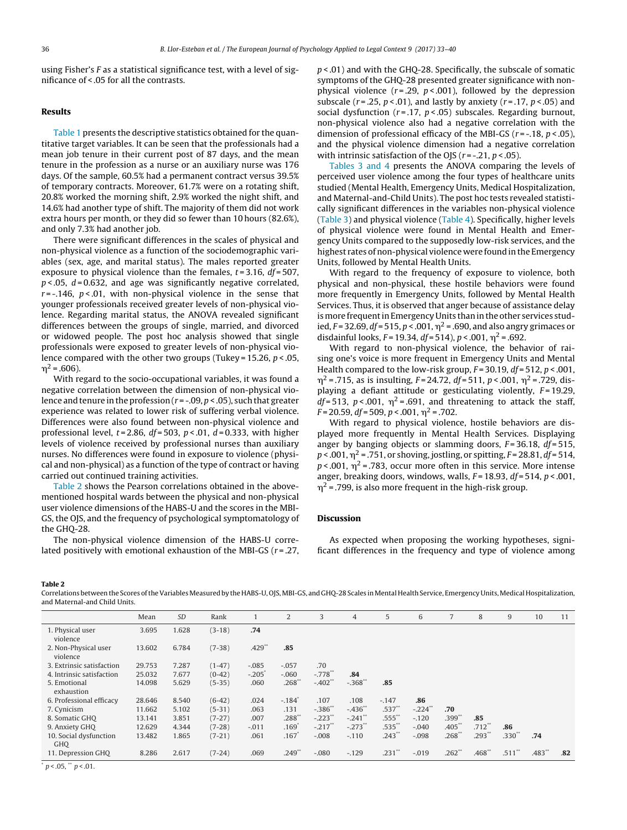using Fisher's F as a statistical significance test, with a level of significance of < .05 for all the contrasts.

## **Results**

[Table](#page-2-0) 1 presents the descriptive statistics obtained for the quantitative target variables. It can be seen that the professionals had a mean job tenure in their current post of 87 days, and the mean tenure in the profession as a nurse or an auxiliary nurse was 176 days. Of the sample, 60.5% had a permanent contract versus 39.5% of temporary contracts. Moreover, 61.7% were on a rotating shift, 20.8% worked the morning shift, 2.9% worked the night shift, and 14.6% had another type of shift. The majority of them did not work extra hours per month, or they did so fewer than 10 hours (82.6%), and only 7.3% had another job.

There were significant differences in the scales of physical and non-physical violence as a function of the sociodemographic variables (sex, age, and marital status). The males reported greater exposure to physical violence than the females,  $t = 3.16$ ,  $df = 507$ ,  $p$  < 0.05,  $d$  = 0.632, and age was significantly negative correlated,  $r = -0.146$ ,  $p < 0.01$ , with non-physical violence in the sense that younger professionals received greater levels of non-physical violence. Regarding marital status, the ANOVA revealed significant differences between the groups of single, married, and divorced or widowed people. The post hoc analysis showed that single professionals were exposed to greater levels of non-physical violence compared with the other two groups (Tukey = 15.26,  $p < .05$ ,  $\eta^2$  = .606).

With regard to the socio-occupational variables, it was found a negative correlation between the dimension of non-physical violence and tenure in the profession ( $r = -0.09$ ,  $p < 0.05$ ), such that greater experience was related to lower risk of suffering verbal violence. Differences were also found between non-physical violence and professional level,  $t = 2.86$ ,  $df = 503$ ,  $p < .01$ ,  $d = 0.333$ , with higher levels of violence received by professional nurses than auxiliary nurses. No differences were found in exposure to violence (physical and non-physical) as a function of the type of contract or having carried out continued training activities.

Table 2 shows the Pearson correlations obtained in the abovementioned hospital wards between the physical and non-physical user violence dimensions of the HABS-U and the scores in the MBI-GS, the OJS, and the frequency of psychological symptomatology of the GHQ-28.

The non-physical violence dimension of the HABS-U correlated positively with emotional exhaustion of the MBI-GS  $(r=.27, ...)$   $p$  < .01) and with the GHQ-28. Specifically, the subscale of somatic symptoms of the GHQ-28 presented greater significance with nonphysical violence ( $r = .29$ ,  $p < .001$ ), followed by the depression subscale ( $r = 0.25$ ,  $p < 0.01$ ), and lastly by anxiety ( $r = 0.17$ ,  $p < 0.05$ ) and social dysfunction ( $r = .17$ ,  $p < .05$ ) subscales. Regarding burnout, non-physical violence also had a negative correlation with the dimension of professional efficacy of the MBI-GS ( $r = -18$ ,  $p < .05$ ), and the physical violence dimension had a negative correlation with intrinsic satisfaction of the OJS ( $r = -21$ ,  $p < .05$ ).

[Tables](#page-4-0) 3 and 4 presents the ANOVA comparing the levels of perceived user violence among the four types of healthcare units studied (Mental Health, Emergency Units, Medical Hospitalization, and Maternal-and-Child Units). The post hoc tests revealed statistically significant differences in the variables non-physical violence [\(Table](#page-4-0) 3) and physical violence [\(Table](#page-4-0) 4). Specifically, higher levels of physical violence were found in Mental Health and Emergency Units compared to the supposedly low-risk services, and the highest rates of non-physical violence were found in the Emergency Units, followed by Mental Health Units.

With regard to the frequency of exposure to violence, both physical and non-physical, these hostile behaviors were found more frequently in Emergency Units, followed by Mental Health Services. Thus, it is observed that anger because of assistance delay is more frequent in Emergency Units than in the other services studied, F = 32.69, df = 515, p < .001,  $\eta^2$  = .690, and also angry grimaces or disdainful looks,  $F = 19.34$ ,  $df = 514$ ),  $p < .001$ ,  $\eta^2 = .692$ .

With regard to non-physical violence, the behavior of raising one's voice is more frequent in Emergency Units and Mental Health compared to the low-risk group,  $F = 30.19$ ,  $df = 512$ ,  $p < .001$ ,  $\eta^2$  = .715, as is insulting, F = 24.72, df = 511, p < .001,  $\eta^2$  = .729, displaying a defiant attitude or gesticulating violently,  $F = 19.29$ ,  $df = 513$ ,  $p < .001$ ,  $\eta^2 = .691$ , and threatening to attack the staff,  $F = 20.59$ ,  $df = 509$ ,  $p < .001$ ,  $\eta^2 = .702$ .

With regard to physical violence, hostile behaviors are displayed more frequently in Mental Health Services. Displaying anger by banging objects or slamming doors,  $F = 36.18$ ,  $df = 515$ , p < .001,  $\eta^2$  = .751, or shoving, jostling, or spitting, F = 28.81, df = 514,  $p<$ .001,  $\eta^2$  = .783, occur more often in this service. More intense anger, breaking doors, windows, walls,  $F = 18.93$ ,  $df = 514$ ,  $p < .001$ ,  $\eta^2$  = .799, is also more frequent in the high-risk group.

## **Discussion**

As expected when proposing the working hypotheses, significant differences in the frequency and type of violence among

#### **Table 2**

Correlations between the Scores of the Variables Measured by the HABS-U, OJS, MBI-GS, and GHQ-28 Scales in Mental Health Service, Emergency Units, Medical Hospitalization, and Maternal-and Child Units.

|                                  | Mean   | <b>SD</b> | Rank     |          | $\overline{2}$       | 3                     | 4          | 5                    | 6          | 7                | 8        | 9        | 10       | 11  |
|----------------------------------|--------|-----------|----------|----------|----------------------|-----------------------|------------|----------------------|------------|------------------|----------|----------|----------|-----|
| 1. Physical user<br>violence     | 3.695  | 1.628     | $(3-18)$ | .74      |                      |                       |            |                      |            |                  |          |          |          |     |
| 2. Non-Physical user<br>violence | 13.602 | 6.784     | $(7-38)$ | $.429**$ | .85                  |                       |            |                      |            |                  |          |          |          |     |
| 3. Extrinsic satisfaction        | 29.753 | 7.287     | $(1-47)$ | $-.085$  | $-.057$              | .70                   |            |                      |            |                  |          |          |          |     |
| 4. Intrinsic satisfaction        | 25.032 | 7.677     | $(0-42)$ | $-.205$  | $-.060$              | $-.778$ <sup>**</sup> | .84        |                      |            |                  |          |          |          |     |
| 5. Emotional<br>exhaustion       | 14.098 | 5.629     | $(5-35)$ | .060     | $.268**$             | $-.402$ **            | $-.368$ ** | .85                  |            |                  |          |          |          |     |
| 6. Professional efficacy         | 28.646 | 8.540     | $(6-42)$ | .024     | $-.184$ <sup>*</sup> | .107                  | .108       | $-147$               | .86        |                  |          |          |          |     |
| 7. Cynicism                      | 11.662 | 5.102     | $(5-31)$ | .063     | .131                 | $-.386$ **            | $-.436$ ** | $.537**$             | $-.224$ ** | .70 <sub>2</sub> |          |          |          |     |
| 8. Somatic GHQ                   | 13.141 | 3.851     | $(7-27)$ | .007     | $.288**$             | $-.223$ <sup>**</sup> | $-.241$ ** | $.555$ **            | $-.120$    | .399**           | .85      |          |          |     |
| 9. Anxiety GHQ                   | 12.629 | 4.344     | $(7-28)$ | $-.011$  | .169 <sup>°</sup>    | $-.217$ <sup>**</sup> | $-.273$ ** | $.535$ <sup>**</sup> | $-.040$    | $.405$ $*$       | $.712**$ | .86      |          |     |
| 10. Social dysfunction<br>GHO    | 13.482 | 1.865     | $(7-21)$ | .061     | .167                 | $-.008$               | $-.110$    | $.243$ <sup>**</sup> | $-.098$    | $.268**$         | $.293**$ | $.330**$ | .74      |     |
| 11. Depression GHQ               | 8.286  | 2.617     | $(7-24)$ | .069     | $.249**$             | $-.080$               | $-.129$    | $.231**$             | $-.019$    | $.262**$         | $.468**$ | $.511**$ | $.483**$ | .82 |

 $p < .05$ , \*\*  $p < .01$ .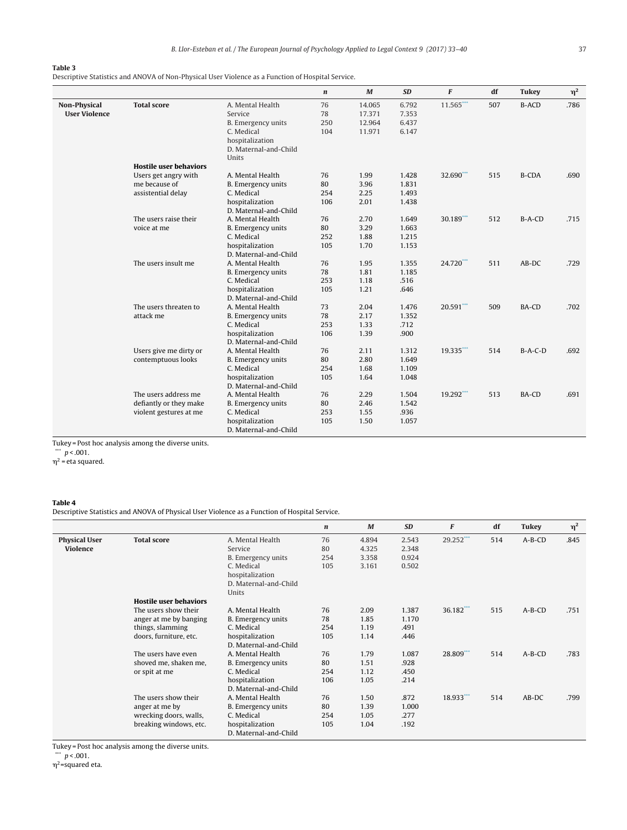## <span id="page-4-0"></span>**Table 3**

Descriptive Statistics and ANOVA of Non-Physical User Violence as a Function of Hospital Service.

|                                             |                               |                                                                                    | $\boldsymbol{n}$       | $\boldsymbol{M}$                     | <b>SD</b>                        | F           | df  | <b>Tukey</b> | $\eta^2$ |
|---------------------------------------------|-------------------------------|------------------------------------------------------------------------------------|------------------------|--------------------------------------|----------------------------------|-------------|-----|--------------|----------|
| <b>Non-Physical</b><br><b>User Violence</b> | <b>Total score</b>            | A. Mental Health<br>Service<br>B. Emergency units<br>C. Medical<br>hospitalization | 76<br>78<br>250<br>104 | 14.065<br>17.371<br>12.964<br>11.971 | 6.792<br>7.353<br>6.437<br>6.147 | 11.565***   | 507 | <b>B-ACD</b> | .786     |
|                                             |                               | D. Maternal-and-Child<br>Units                                                     |                        |                                      |                                  |             |     |              |          |
|                                             | <b>Hostile user behaviors</b> |                                                                                    |                        |                                      |                                  |             |     |              |          |
|                                             | Users get angry with          | A. Mental Health                                                                   | 76                     | 1.99                                 | 1.428                            | 32.690***   | 515 | <b>B-CDA</b> | .690     |
|                                             | me because of                 | B. Emergency units                                                                 | 80                     | 3.96                                 | 1.831                            |             |     |              |          |
|                                             | assistential delay            | C. Medical                                                                         | 254                    | 2.25                                 | 1.493                            |             |     |              |          |
|                                             |                               | hospitalization                                                                    | 106                    | 2.01                                 | 1.438                            |             |     |              |          |
|                                             |                               | D. Maternal-and-Child                                                              |                        |                                      |                                  |             |     |              |          |
|                                             | The users raise their         | A. Mental Health                                                                   | 76                     | 2.70                                 | 1.649                            | $30.189***$ | 512 | B-A-CD       | .715     |
|                                             | voice at me                   | B. Emergency units                                                                 | 80                     | 3.29                                 | 1.663                            |             |     |              |          |
|                                             |                               | C. Medical                                                                         | 252                    | 1.88                                 | 1.215                            |             |     |              |          |
|                                             |                               | hospitalization                                                                    | 105                    | 1.70                                 | 1.153                            |             |     |              |          |
|                                             |                               | D. Maternal-and-Child                                                              |                        |                                      |                                  |             |     |              |          |
|                                             | The users insult me           | A. Mental Health                                                                   | 76                     | 1.95                                 | 1.355                            | 24.720***   | 511 | $AB-DC$      | .729     |
|                                             |                               | B. Emergency units                                                                 | 78                     | 1.81                                 | 1.185                            |             |     |              |          |
|                                             |                               | C. Medical                                                                         | 253                    | 1.18                                 | .516                             |             |     |              |          |
|                                             |                               | hospitalization                                                                    | 105                    | 1.21                                 | .646                             |             |     |              |          |
|                                             |                               | D. Maternal-and-Child                                                              |                        |                                      |                                  |             |     |              |          |
|                                             | The users threaten to         | A. Mental Health                                                                   | 73                     | 2.04                                 | 1.476                            | 20.591***   | 509 | BA-CD        | .702     |
|                                             | attack me                     | B. Emergency units                                                                 | 78                     | 2.17                                 | 1.352                            |             |     |              |          |
|                                             |                               | C. Medical                                                                         | 253                    | 1.33                                 | .712                             |             |     |              |          |
|                                             |                               | hospitalization                                                                    | 106                    | 1.39                                 | .900                             |             |     |              |          |
|                                             |                               | D. Maternal-and-Child                                                              |                        |                                      |                                  |             |     |              |          |
|                                             | Users give me dirty or        | A. Mental Health                                                                   | 76                     | 2.11                                 | 1.312                            | 19.335***   | 514 | $B-A-C-D$    | .692     |
|                                             | contemptuous looks            | B. Emergency units                                                                 | 80                     | 2.80                                 | 1.649                            |             |     |              |          |
|                                             |                               | C. Medical                                                                         | 254                    | 1.68                                 | 1.109                            |             |     |              |          |
|                                             |                               | hospitalization                                                                    | 105                    | 1.64                                 | 1.048                            |             |     |              |          |
|                                             |                               | D. Maternal-and-Child                                                              |                        |                                      |                                  |             |     |              |          |
|                                             | The users address me          | A. Mental Health                                                                   | 76                     | 2.29                                 | 1.504                            | 19.292***   | 513 | BA-CD        | .691     |
|                                             | defiantly or they make        | B. Emergency units                                                                 | 80                     | 2.46                                 | 1.542                            |             |     |              |          |
|                                             | violent gestures at me        | C. Medical                                                                         | 253                    | 1.55                                 | .936                             |             |     |              |          |
|                                             |                               | hospitalization                                                                    | 105                    | 1.50                                 | 1.057                            |             |     |              |          |
|                                             |                               | D. Maternal-and-Child                                                              |                        |                                      |                                  |             |     |              |          |
|                                             |                               |                                                                                    |                        |                                      |                                  |             |     |              |          |

Tukey = Post hoc analysis among the diverse units.

 $\sqrt[3]{p}$  < .001.

 $\eta^2$  = eta squared.

#### **Table 4**

Descriptive Statistics and ANOVA of Physical User Violence as a Function of Hospital Service.

|                      |                               |                       | $\boldsymbol{n}$ | $\boldsymbol{M}$ | <b>SD</b> | F            | df  | Tukey    | $\eta^2$ |
|----------------------|-------------------------------|-----------------------|------------------|------------------|-----------|--------------|-----|----------|----------|
| <b>Physical User</b> | <b>Total score</b>            | A. Mental Health      | 76               | 4.894            | 2.543     | 29.252***    | 514 | $A-B-CD$ | .845     |
| <b>Violence</b>      |                               | Service               | 80               | 4.325            | 2.348     |              |     |          |          |
|                      |                               | B. Emergency units    | 254              | 3.358            | 0.924     |              |     |          |          |
|                      |                               | C. Medical            | 105              | 3.161            | 0.502     |              |     |          |          |
|                      |                               | hospitalization       |                  |                  |           |              |     |          |          |
|                      |                               | D. Maternal-and-Child |                  |                  |           |              |     |          |          |
|                      |                               | Units                 |                  |                  |           |              |     |          |          |
|                      | <b>Hostile user behaviors</b> |                       |                  |                  |           |              |     |          |          |
|                      | The users show their          | A. Mental Health      | 76               | 2.09             | 1.387     | $36.182$ *** | 515 | $A-B-CD$ | .751     |
|                      | anger at me by banging        | B. Emergency units    | 78               | 1.85             | 1.170     |              |     |          |          |
|                      | things, slamming              | C. Medical            | 254              | 1.19             | .491      |              |     |          |          |
|                      | doors, furniture, etc.        | hospitalization       | 105              | 1.14             | .446      |              |     |          |          |
|                      |                               | D. Maternal-and-Child |                  |                  |           |              |     |          |          |
|                      | The users have even           | A. Mental Health      | 76               | 1.79             | 1.087     | 28.809***    | 514 | $A-B-CD$ | .783     |
|                      | shoved me, shaken me,         | B. Emergency units    | 80               | 1.51             | .928      |              |     |          |          |
|                      | or spit at me                 | C. Medical            | 254              | 1.12             | .450      |              |     |          |          |
|                      |                               | hospitalization       | 106              | 1.05             | .214      |              |     |          |          |
|                      |                               | D. Maternal-and-Child |                  |                  |           |              |     |          |          |
|                      | The users show their          | A. Mental Health      | 76               | 1.50             | .872      | $18.933***$  | 514 | $AB-DC$  | .799     |
|                      | anger at me by                | B. Emergency units    | 80               | 1.39             | 1.000     |              |     |          |          |
|                      | wrecking doors, walls,        | C. Medical            | 254              | 1.05             | .277      |              |     |          |          |
|                      | breaking windows, etc.        | hospitalization       | 105              | 1.04             | .192      |              |     |          |          |
|                      |                               | D. Maternal-and-Child |                  |                  |           |              |     |          |          |

Tukey = Post hoc analysis among the diverse units.

\*\*\*  $p < .001$ .  $\eta^2$ =squared eta.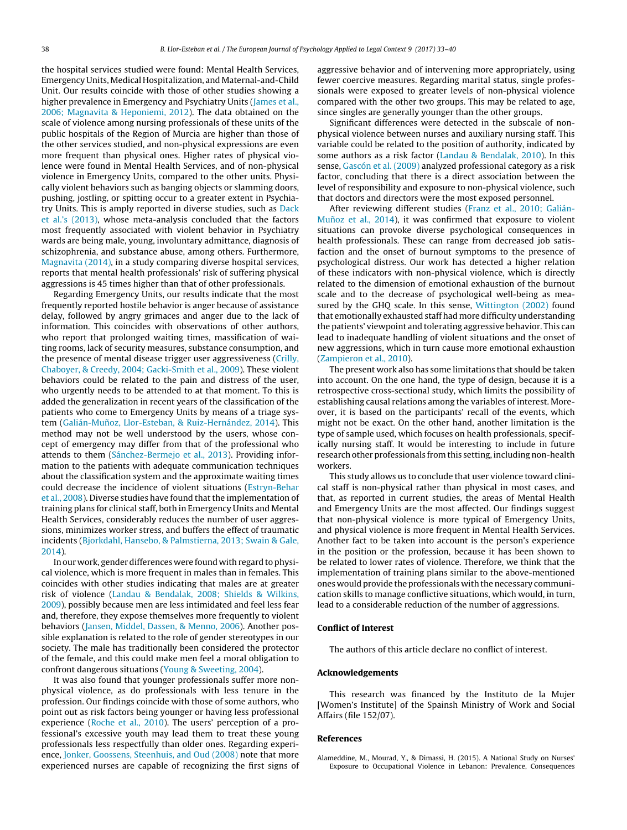<span id="page-5-0"></span>the hospital services studied were found: Mental Health Services, Emergency Units, Medical Hospitalization, and Maternal-and-Child Unit. Our results coincide with those of other studies showing a higher prevalence in Emergency and Psychiatry Units ([James](#page-6-0) et [al.,](#page-6-0) [2006;](#page-6-0) [Magnavita](#page-6-0) [&](#page-6-0) [Heponiemi,](#page-6-0) [2012\).](#page-6-0) The data obtained on the scale of violence among nursing professionals of these units of the public hospitals of the Region of Murcia are higher than those of the other services studied, and non-physical expressions are even more frequent than physical ones. Higher rates of physical violence were found in Mental Health Services, and of non-physical violence in Emergency Units, compared to the other units. Physically violent behaviors such as banging objects or slamming doors, pushing, jostling, or spitting occur to a greater extent in Psychiatry Units. This is amply reported in diverse studies, such as [Dack](#page-6-0) et [al.'s](#page-6-0) [\(2013\),](#page-6-0) whose meta-analysis concluded that the factors most frequently associated with violent behavior in Psychiatry wards are being male, young, involuntary admittance, diagnosis of schizophrenia, and substance abuse, among others. Furthermore, [Magnavita](#page-6-0) [\(2014\),](#page-6-0) in a study comparing diverse hospital services, reports that mental health professionals' risk of suffering physical aggressions is 45 times higher than that of other professionals.

Regarding Emergency Units, our results indicate that the most frequently reported hostile behavior is anger because of assistance delay, followed by angry grimaces and anger due to the lack of information. This coincides with observations of other authors, who report that prolonged waiting times, massification of waiting rooms, lack of security measures, substance consumption, and the presence of mental disease trigger user aggressiveness [\(Crilly,](#page-6-0) [Chaboyer,](#page-6-0) [&](#page-6-0) [Creedy,](#page-6-0) [2004;](#page-6-0) [Gacki-Smith](#page-6-0) et [al.,](#page-6-0) [2009\).](#page-6-0) These violent behaviors could be related to the pain and distress of the user, who urgently needs to be attended to at that moment. To this is added the generalization in recent years of the classification of the patients who come to Emergency Units by means of a triage sys-tem (Galián-Muñoz, [Llor-Esteban,](#page-6-0) [&](#page-6-0) [Ruiz-Hernández,](#page-6-0) [2014\).](#page-6-0) This method may not be well understood by the users, whose concept of emergency may differ from that of the professional who attends to them ([Sánchez-Bermejo](#page-6-0) et [al.,](#page-6-0) [2013\).](#page-6-0) Providing information to the patients with adequate communication techniques about the classification system and the approximate waiting times could decrease the incidence of violent situations ([Estryn-Behar](#page-6-0) et [al.,](#page-6-0) [2008\).](#page-6-0) Diverse studies have found that the implementation of training plans for clinical staff, both in Emergency Units and Mental Health Services, considerably reduces the number of user aggressions, minimizes worker stress, and buffers the effect of traumatic incidents [\(Bjorkdahl,](#page-6-0) [Hansebo,](#page-6-0) [&](#page-6-0) [Palmstierna,](#page-6-0) [2013;](#page-6-0) [Swain](#page-6-0) [&](#page-6-0) [Gale,](#page-6-0) [2014\).](#page-6-0)

In our work, gender differences were found with regard to physical violence, which is more frequent in males than in females. This coincides with other studies indicating that males are at greater risk of violence [\(Landau](#page-6-0) [&](#page-6-0) [Bendalak,](#page-6-0) [2008;](#page-6-0) [Shields](#page-6-0) [&](#page-6-0) [Wilkins,](#page-6-0) [2009\),](#page-6-0) possibly because men are less intimidated and feel less fear and, therefore, they expose themselves more frequently to violent behaviors ([Jansen,](#page-6-0) [Middel,](#page-6-0) [Dassen,](#page-6-0) [&](#page-6-0) [Menno,](#page-6-0) [2006\).](#page-6-0) Another possible explanation is related to the role of gender stereotypes in our society. The male has traditionally been considered the protector of the female, and this could make men feel a moral obligation to confront dangerous situations [\(Young](#page-7-0) [&](#page-7-0) [Sweeting,](#page-7-0) [2004\).](#page-7-0)

It was also found that younger professionals suffer more nonphysical violence, as do professionals with less tenure in the profession. Our findings coincide with those of some authors, who point out as risk factors being younger or having less professional experience [\(Roche](#page-6-0) et [al.,](#page-6-0) [2010\).](#page-6-0) The users' perception of a professional's excessive youth may lead them to treat these young professionals less respectfully than older ones. Regarding experience, [Jonker,](#page-6-0) [Goossens,](#page-6-0) [Steenhuis,](#page-6-0) [and](#page-6-0) [Oud](#page-6-0) [\(2008\)](#page-6-0) note that more experienced nurses are capable of recognizing the first signs of aggressive behavior and of intervening more appropriately, using fewer coercive measures. Regarding marital status, single professionals were exposed to greater levels of non-physical violence compared with the other two groups. This may be related to age, since singles are generally younger than the other groups.

Significant differences were detected in the subscale of nonphysical violence between nurses and auxiliary nursing staff. This variable could be related to the position of authority, indicated by some authors as a risk factor [\(Landau](#page-6-0) [&](#page-6-0) [Bendalak,](#page-6-0) [2010\).](#page-6-0) In this sense, [Gascón](#page-6-0) et [al.](#page-6-0) [\(2009\)](#page-6-0) analyzed professional category as a risk factor, concluding that there is a direct association between the level of responsibility and exposure to non-physical violence, such that doctors and directors were the most exposed personnel.

After reviewing different studies ([Franz](#page-6-0) et [al.,](#page-6-0) [2010;](#page-6-0) [Galián](#page-6-0)Muñoz et [al.,](#page-6-0) [2014\),](#page-6-0) it was confirmed that exposure to violent situations can provoke diverse psychological consequences in health professionals. These can range from decreased job satisfaction and the onset of burnout symptoms to the presence of psychological distress. Our work has detected a higher relation of these indicators with non-physical violence, which is directly related to the dimension of emotional exhaustion of the burnout scale and to the decrease of psychological well-being as measured by the GHQ scale. In this sense, [Wittington](#page-7-0) [\(2002\)](#page-7-0) found that emotionally exhausted staff had more difficulty understanding the patients' viewpoint and tolerating aggressive behavior. This can lead to inadequate handling of violent situations and the onset of new aggressions, which in turn cause more emotional exhaustion [\(Zampieron](#page-7-0) et [al.,](#page-7-0) [2010\).](#page-7-0)

The present work also has some limitations that should be taken into account. On the one hand, the type of design, because it is a retrospective cross-sectional study, which limits the possibility of establishing causal relations among the variables of interest. Moreover, it is based on the participants' recall of the events, which might not be exact. On the other hand, another limitation is the type of sample used, which focuses on health professionals, specifically nursing staff. It would be interesting to include in future research other professionals fromthis setting, including non-health workers.

This study allows us to conclude that user violence toward clinical staff is non-physical rather than physical in most cases, and that, as reported in current studies, the areas of Mental Health and Emergency Units are the most affected. Our findings suggest that non-physical violence is more typical of Emergency Units, and physical violence is more frequent in Mental Health Services. Another fact to be taken into account is the person's experience in the position or the profession, because it has been shown to be related to lower rates of violence. Therefore, we think that the implementation of training plans similar to the above-mentioned ones would provide the professionals with the necessary communication skills to manage conflictive situations, which would, in turn, lead to a considerable reduction of the number of aggressions.

#### **Conflict of Interest**

The authors of this article declare no conflict of interest.

## **Acknowledgements**

This research was financed by the Instituto de la Mujer [Women's Institute] of the Spainsh Ministry of Work and Social Affairs (file 152/07).

## **References**

Alameddine, M., Mourad, Y., & Dimassi, H. (2015). A National Study on Nurses' Exposure to Occupational Violence in Lebanon: Prevalence, Consequences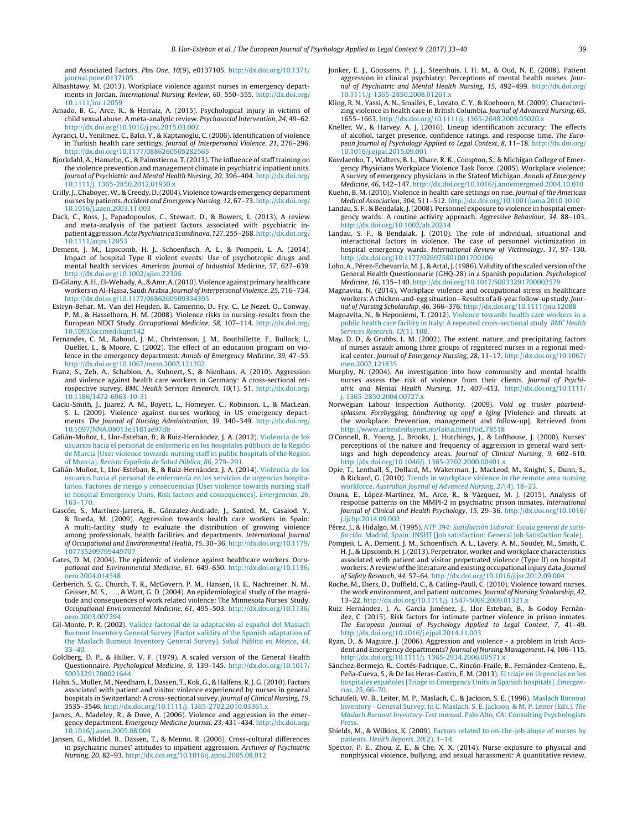<span id="page-6-0"></span>and Associated Factors. Plos One, 10(9), e0137105. [http://dx.doi.org/10.1371/](dx.doi.org/10.1371/journal.pone.0137105) [journal.pone.0137105](dx.doi.org/10.1371/journal.pone.0137105)

- Albashtawy, M. (2013). Workplace violence against nurses in emergency departments in Jordan. International Nursing Review, 60, 550–555. [http://dx.doi.org/](dx.doi.org/10.1111/inr.12059) [10.1111/inr.12059](dx.doi.org/10.1111/inr.12059)
- Amado, B. G., Arce, R., & Herraiz, A. (2015). Psychological injury in victims of child sexual abuse: A meta-analytic review. Psychosocial Intervention, 24, 49–62. [http://dx.doi.org/10.1016/j.psi.2015.03.002](dx.doi.org/10.1016/j.psi.2015.03.002)
- Ayranci, U., Yenilmez, C., Balci, Y., & Kaptanoglu, C. (2006). Identification of violence in Turkish health care settings. Journal of Interpersonal Violence, 21, 276–296. [http://dx.doi.org/10.1177/0886260505282565](dx.doi.org/10.1177/0886260505282565)
- Bjorkdahl, A., Hansebo, G., & Palmstierna, T. (2013). The influence of staff training on the violence prevention and management climate in psychiatric inpatient units. Journal of Psychiatric and Mental Health Nursing, 20, 396–404. [http://dx.doi.org/](dx.doi.org/10.1111/j. 1365-2850.2012.01930.x) 10.1111/j. [1365-2850.2012.01930.x](dx.doi.org/10.1111/j. 1365-2850.2012.01930.x)
- Crilly,J., Chaboyer,W., & Creedy, D.(2004).Violence towards emergency department nurses by patients. Accident and Emergency Nursing, 12, 67–73. [http://dx.doi.org/](dx.doi.org/10.1016/j.aaen.2003.11.003) [10.1016/j.aaen.2003.11.003](dx.doi.org/10.1016/j.aaen.2003.11.003)
- Dack, C., Ross, J., Papadopoulos, C., Stewart, D., & Bowers, L. (2013). A review and meta-analysis of the patient factors associated with psychiatric inpatient aggression.Acta Psychiatrica Scandinava, 127,255–268.[http://dx.doi.org/](dx.doi.org/10.1111/acps.12053) [10.1111/acps.12053](dx.doi.org/10.1111/acps.12053)
- Dement, J. M., Lipscomb, H. J., Schoenfisch, A. L., & Pompeii, L. A. (2014). Impact of hospital Type II violent events: Use of psychotropic drugs and mental health services. American Journal of Industrial Medicine, 57, 627–639. [http://dx.doi.org/10.1002/ajim.22306](dx.doi.org/10.1002/ajim.22306)
- El-Gilany, A.H., El-Wehady, A., & Amr, A. (2010). Violence against primary health care workers in Al-Hassa, Saudi Arabia. Journal of Interpersonal Violence, 25, 716–734. [http://dx.doi.org/10.1177/0886260509334395](dx.doi.org/10.1177/0886260509334395)
- Estryn-Behar, M., Van del Heijden, B., Camerino, D., Fry, C., Le Nezet, O., Conway, P. M., & Hasselhorn, H. M. (2008). Violence risks in nursing-results from the European NEXT Study. Occupational Medicine, 58, 107–114. [http://dx.doi.org/](dx.doi.org/10.1093/occmed/kqm142) [10.1093/occmed/kqm142](dx.doi.org/10.1093/occmed/kqm142)
- Fernandes, C. M., Raboud, J. M., Christenson, J. M., Bouthillette, F., Bullock, L., Ouellet, L., & Moore, C. (2002). The effect of an education program on violence in the emergency department. Annals of Emergency Medicine, 39, 47–55. [http://dx.doi.org/10.1067/mem.2002.121202](dx.doi.org/10.1067/mem.2002.121202)
- Franz, S., Zeh, A., Schablon, A., Kuhnert, S., & Nienhaus, A. (2010). Aggression and violence against health care workers in Germany: A cross-sectional retrospective survey. BMC Health Services Research, 10(1), 51. [http://dx.doi.org/](dx.doi.org/10.1186/1472-6963-10-51) [10.1186/1472-6963-10-51](dx.doi.org/10.1186/1472-6963-10-51)
- Gacki-Smith, J., Juarez, A. M., Boyett, L., Homeyer, C., Robinson, L., & MacLean, S. L. (2009). Violence against nurses working in US emergency departments. The Journal of Nursing Administration, 39, 340–349. [http://dx.doi.org/](dx.doi.org/10.1097/NNA.0b013e3181ae97db) [10.1097/NNA.0b013e3181ae97db](dx.doi.org/10.1097/NNA.0b013e3181ae97db)
- Galián-Muñoz, I., Llor-Esteban, B., & Ruiz-Hernández, J. A. (2012). [Violencia](http://refhub.elsevier.com/S1889-1861(16)30037-3/sbref0070) [de](http://refhub.elsevier.com/S1889-1861(16)30037-3/sbref0070) [los](http://refhub.elsevier.com/S1889-1861(16)30037-3/sbref0070) [usuarios](http://refhub.elsevier.com/S1889-1861(16)30037-3/sbref0070) [hacia](http://refhub.elsevier.com/S1889-1861(16)30037-3/sbref0070) [el](http://refhub.elsevier.com/S1889-1861(16)30037-3/sbref0070) [personal](http://refhub.elsevier.com/S1889-1861(16)30037-3/sbref0070) [de](http://refhub.elsevier.com/S1889-1861(16)30037-3/sbref0070) [enfermería](http://refhub.elsevier.com/S1889-1861(16)30037-3/sbref0070) [en](http://refhub.elsevier.com/S1889-1861(16)30037-3/sbref0070) [los](http://refhub.elsevier.com/S1889-1861(16)30037-3/sbref0070) [hospitales](http://refhub.elsevier.com/S1889-1861(16)30037-3/sbref0070) [públicos](http://refhub.elsevier.com/S1889-1861(16)30037-3/sbref0070) [de](http://refhub.elsevier.com/S1889-1861(16)30037-3/sbref0070) [la](http://refhub.elsevier.com/S1889-1861(16)30037-3/sbref0070) [Región](http://refhub.elsevier.com/S1889-1861(16)30037-3/sbref0070) [de](http://refhub.elsevier.com/S1889-1861(16)30037-3/sbref0070) [Murcia](http://refhub.elsevier.com/S1889-1861(16)30037-3/sbref0070) [\[User](http://refhub.elsevier.com/S1889-1861(16)30037-3/sbref0070) [violence](http://refhub.elsevier.com/S1889-1861(16)30037-3/sbref0070) [towards](http://refhub.elsevier.com/S1889-1861(16)30037-3/sbref0070) [nursing](http://refhub.elsevier.com/S1889-1861(16)30037-3/sbref0070) [staff](http://refhub.elsevier.com/S1889-1861(16)30037-3/sbref0070) [in](http://refhub.elsevier.com/S1889-1861(16)30037-3/sbref0070) [public](http://refhub.elsevier.com/S1889-1861(16)30037-3/sbref0070) [hospitals](http://refhub.elsevier.com/S1889-1861(16)30037-3/sbref0070) [of](http://refhub.elsevier.com/S1889-1861(16)30037-3/sbref0070) [the](http://refhub.elsevier.com/S1889-1861(16)30037-3/sbref0070) [Region](http://refhub.elsevier.com/S1889-1861(16)30037-3/sbref0070) [of](http://refhub.elsevier.com/S1889-1861(16)30037-3/sbref0070) [Murcia\].](http://refhub.elsevier.com/S1889-1861(16)30037-3/sbref0070) [Revista](http://refhub.elsevier.com/S1889-1861(16)30037-3/sbref0070) [Espa˜nola](http://refhub.elsevier.com/S1889-1861(16)30037-3/sbref0070) [de](http://refhub.elsevier.com/S1889-1861(16)30037-3/sbref0070) [Salud](http://refhub.elsevier.com/S1889-1861(16)30037-3/sbref0070) [Pública](http://refhub.elsevier.com/S1889-1861(16)30037-3/sbref0070)[,](http://refhub.elsevier.com/S1889-1861(16)30037-3/sbref0070) [86](http://refhub.elsevier.com/S1889-1861(16)30037-3/sbref0070)[,](http://refhub.elsevier.com/S1889-1861(16)30037-3/sbref0070) [279–291.](http://refhub.elsevier.com/S1889-1861(16)30037-3/sbref0070)
- Galián-Muñoz, I., Llor-Esteban, B., & Ruiz-Hernández, J. A. (2014). [Violencia](http://refhub.elsevier.com/S1889-1861(16)30037-3/sbref0075) [de](http://refhub.elsevier.com/S1889-1861(16)30037-3/sbref0075) [los](http://refhub.elsevier.com/S1889-1861(16)30037-3/sbref0075) [usuarios](http://refhub.elsevier.com/S1889-1861(16)30037-3/sbref0075) [hacia](http://refhub.elsevier.com/S1889-1861(16)30037-3/sbref0075) [el](http://refhub.elsevier.com/S1889-1861(16)30037-3/sbref0075) [personal](http://refhub.elsevier.com/S1889-1861(16)30037-3/sbref0075) [de](http://refhub.elsevier.com/S1889-1861(16)30037-3/sbref0075) [enfermería](http://refhub.elsevier.com/S1889-1861(16)30037-3/sbref0075) [en](http://refhub.elsevier.com/S1889-1861(16)30037-3/sbref0075) [los](http://refhub.elsevier.com/S1889-1861(16)30037-3/sbref0075) [servicios](http://refhub.elsevier.com/S1889-1861(16)30037-3/sbref0075) [de](http://refhub.elsevier.com/S1889-1861(16)30037-3/sbref0075) [urgencias](http://refhub.elsevier.com/S1889-1861(16)30037-3/sbref0075) [hospita](http://refhub.elsevier.com/S1889-1861(16)30037-3/sbref0075)[larios.](http://refhub.elsevier.com/S1889-1861(16)30037-3/sbref0075) [Factores](http://refhub.elsevier.com/S1889-1861(16)30037-3/sbref0075) [de](http://refhub.elsevier.com/S1889-1861(16)30037-3/sbref0075) [riesgo](http://refhub.elsevier.com/S1889-1861(16)30037-3/sbref0075) [y](http://refhub.elsevier.com/S1889-1861(16)30037-3/sbref0075) [consecuencias](http://refhub.elsevier.com/S1889-1861(16)30037-3/sbref0075) [\[User](http://refhub.elsevier.com/S1889-1861(16)30037-3/sbref0075) [violence](http://refhub.elsevier.com/S1889-1861(16)30037-3/sbref0075) [towards](http://refhub.elsevier.com/S1889-1861(16)30037-3/sbref0075) [nursing](http://refhub.elsevier.com/S1889-1861(16)30037-3/sbref0075) [staff](http://refhub.elsevier.com/S1889-1861(16)30037-3/sbref0075) [in](http://refhub.elsevier.com/S1889-1861(16)30037-3/sbref0075) [hospital](http://refhub.elsevier.com/S1889-1861(16)30037-3/sbref0075) [Emergency](http://refhub.elsevier.com/S1889-1861(16)30037-3/sbref0075) [Units.](http://refhub.elsevier.com/S1889-1861(16)30037-3/sbref0075) [Risk](http://refhub.elsevier.com/S1889-1861(16)30037-3/sbref0075) [factors](http://refhub.elsevier.com/S1889-1861(16)30037-3/sbref0075) [and](http://refhub.elsevier.com/S1889-1861(16)30037-3/sbref0075) [consequences\].](http://refhub.elsevier.com/S1889-1861(16)30037-3/sbref0075) [Emergencias](http://refhub.elsevier.com/S1889-1861(16)30037-3/sbref0075)[,](http://refhub.elsevier.com/S1889-1861(16)30037-3/sbref0075) [26](http://refhub.elsevier.com/S1889-1861(16)30037-3/sbref0075)[,](http://refhub.elsevier.com/S1889-1861(16)30037-3/sbref0075) [163–170.](http://refhub.elsevier.com/S1889-1861(16)30037-3/sbref0075)
- Gascón, S., Martínez-Jarreta, B., Gónzalez-Andrade, J., Santed, M., Casalod, Y., & Rueda, M. (2009). Aggression towards health care workers in Spain: A multi-facility study to evaluate the distribution of growing violence among professionals, health facilities and departments. International Journal of Occupational and Environmental Health, 15, 30–36. [http://dx.doi.org/10.1179/](dx.doi.org/10.1179/107735209799449707) [107735209799449707](dx.doi.org/10.1179/107735209799449707)
- Gates, D. M. (2004). The epidemic of violence against healthcare workers. Occupational and Environmental Medicine, 61, 649–650. [http://dx.doi.org/10.1136/](dx.doi.org/10.1136/oem.2004.014548) [oem.2004.014548](dx.doi.org/10.1136/oem.2004.014548)
- Gerberich, S. G., Church, T. R., McGovern, P. M., Hansen, H. E., Nachreiner, N. M., Geisser, M. S., . . ., & Watt, G. D. (2004). An epidemiological study of the magnitude and consequences of work related violence: The Minnesota Nurses' Study. Occupational Environmental Medicine, 61, 495–503. [http://dx.doi.org/10.1136/](dx.doi.org/10.1136/oem.2003.007294) [oem.2003.007294](dx.doi.org/10.1136/oem.2003.007294)
- Gil-Monte, P. R. (2002). [Validez](http://refhub.elsevier.com/S1889-1861(16)30037-3/sbref0095) [factorial](http://refhub.elsevier.com/S1889-1861(16)30037-3/sbref0095) [de](http://refhub.elsevier.com/S1889-1861(16)30037-3/sbref0095) [la](http://refhub.elsevier.com/S1889-1861(16)30037-3/sbref0095) [adaptación](http://refhub.elsevier.com/S1889-1861(16)30037-3/sbref0095) [al](http://refhub.elsevier.com/S1889-1861(16)30037-3/sbref0095) español [del](http://refhub.elsevier.com/S1889-1861(16)30037-3/sbref0095) [Maslach](http://refhub.elsevier.com/S1889-1861(16)30037-3/sbref0095) [Burnout](http://refhub.elsevier.com/S1889-1861(16)30037-3/sbref0095) [Inventory](http://refhub.elsevier.com/S1889-1861(16)30037-3/sbref0095) [General](http://refhub.elsevier.com/S1889-1861(16)30037-3/sbref0095) [Survey](http://refhub.elsevier.com/S1889-1861(16)30037-3/sbref0095) [\[Factor](http://refhub.elsevier.com/S1889-1861(16)30037-3/sbref0095) [validity](http://refhub.elsevier.com/S1889-1861(16)30037-3/sbref0095) [of](http://refhub.elsevier.com/S1889-1861(16)30037-3/sbref0095) [the](http://refhub.elsevier.com/S1889-1861(16)30037-3/sbref0095) [Spanish](http://refhub.elsevier.com/S1889-1861(16)30037-3/sbref0095) [adaptation](http://refhub.elsevier.com/S1889-1861(16)30037-3/sbref0095) [of](http://refhub.elsevier.com/S1889-1861(16)30037-3/sbref0095) [the](http://refhub.elsevier.com/S1889-1861(16)30037-3/sbref0095) [Maslach](http://refhub.elsevier.com/S1889-1861(16)30037-3/sbref0095) [Burnout](http://refhub.elsevier.com/S1889-1861(16)30037-3/sbref0095) [Inventory](http://refhub.elsevier.com/S1889-1861(16)30037-3/sbref0095) [General](http://refhub.elsevier.com/S1889-1861(16)30037-3/sbref0095) [Survey\].](http://refhub.elsevier.com/S1889-1861(16)30037-3/sbref0095) [Salud](http://refhub.elsevier.com/S1889-1861(16)30037-3/sbref0095) [Pública](http://refhub.elsevier.com/S1889-1861(16)30037-3/sbref0095) [en](http://refhub.elsevier.com/S1889-1861(16)30037-3/sbref0095) [México](http://refhub.elsevier.com/S1889-1861(16)30037-3/sbref0095)[,](http://refhub.elsevier.com/S1889-1861(16)30037-3/sbref0095) [44](http://refhub.elsevier.com/S1889-1861(16)30037-3/sbref0095)[,](http://refhub.elsevier.com/S1889-1861(16)30037-3/sbref0095) [33–40.](http://refhub.elsevier.com/S1889-1861(16)30037-3/sbref0095)
- Goldberg, D. P., & Hillier, V. F. (1979). A scaled version of the General Health Questionnaire. Psychological Medicine, 9, 139–145. [http://dx.doi.org/10.1017/](dx.doi.org/10.1017/S0033291700021644) [S0033291700021644](dx.doi.org/10.1017/S0033291700021644)
- Hahn, S., Muller, M., Needham, I., Dassen, T., Kok, G., & Halfens, R. J. G. (2010). Factors associated with patient and visitor violence experienced by nurses in general hospitals in Switzerland: A cross-sectional survey. Journal of Clinical Nursing, 19, 3535–3546. [http://dx.doi.org/10.1111/j.](dx.doi.org/10.1111/j. 1365-2702.2010.03361.x) 1365-2702.2010.03361.x
- James, A., Madeley, R., & Dove, A. (2006). Violence and aggression in the emergency department. Emergency Medicine Journal, 23, 431–434. [http://dx.doi.org/](dx.doi.org/10.1016/j.aaen.2005.08.004) [10.1016/j.aaen.2005.08.004](dx.doi.org/10.1016/j.aaen.2005.08.004)
- Jansen, G., Middel, B., Dassen, T., & Menno, R. (2006). Cross-cultural differences in psychiatric nurses' attitudes to inpatient aggression. Archives of Psychiatric Nursing, 20, 82–93. [http://dx.doi.org/10.1016/j.apnu.2005.08.012](dx.doi.org/10.1016/j.apnu.2005.08.012)
- Jonker, E. J., Goossens, P. J. J., Steenhuis, I. H. M., & Oud, N. E. (2008). Patient aggression in clinical psychiatry: Perceptions of mental health nurses. Journal of Psychiatric and Mental Health Nursing, 15, 492–499. [http://dx.doi.org/](dx.doi.org/10.1111/j. 1365-2850.2008.01261.x) 10.1111/j. [1365-2850.2008.01261.x](dx.doi.org/10.1111/j. 1365-2850.2008.01261.x)
- Kling, R. N., Yassi, A. N., Smailes, E., Lovato, C. Y., & Koehoorn, M. (2009). Characterizing violence in health care in British Columbia. Journal of Advanced Nursing, 65, 1655–1663. [http://dx.doi.org/10.1111/j.](dx.doi.org/10.1111/j. 1365-2648.2009.05020.x) 1365-2648.2009.05020.x
- Kneller, W., & Harvey, A. J. (2016). Lineup identification accuracy: The effects of alcohol, target presence, confidence ratings, and response time. The European Journal of Psychology Applied to Legal Context, 8, 11–18. [http://dx.doi.org/](dx.doi.org/10.1016/j.ejpal.2015.09.001) [10.1016/j.ejpal.2015.09.001](dx.doi.org/10.1016/j.ejpal.2015.09.001)
- Kowlaenko, T., Walters, B. L., Khare, R. K., Compton, S., & Michigan College of Emergency Physicians Workplace Violence Task Force. (2005). Workplace violence: A survey of emergency physicians in the Stateof Michigan. Annals of Emergency Medicine, 46, 142–147. [http://dx.doi.org/10.1016/j.annemergmed.2004.10.010](dx.doi.org/10.1016/j.annemergmed.2004.10.010)
- Kuehn, B. M. (2010). Violence in health care settings on rise. Journal of the American Medical Association, 304, 511–512. [http://dx.doi.org/10.1001/jama.2010.1010](dx.doi.org/10.1001/jama.2010.1010)
- Landau, S. F., & Bendalak, J. (2008). Personnel exposure to violence in hospital emergency wards: A routine activity approach. Aggressive Behaviour, 34, 88–103. [http://dx.doi.org/10.1002/ab.20214](dx.doi.org/10.1002/ab.20214)
- Landau, S. F., & Bendalak, J. (2010). The role of individual, situational and interactional factors in violence. The case of personnel victimization in hospital emergency wards. International Review of Victimology, 17, 97–130. [http://dx.doi.org/10.1177/026975801001700106](dx.doi.org/10.1177/026975801001700106)
- Lobo, A., Pérez-Echevarría, M. J., & Artal, J. (1986). Validity of the scaled version of the General Health Questionnarie (GHQ-28) in a Spanish population. Psychological Medicine, 16, 135–140. [http://dx.doi.org/10.1017/S0033291700002579](dx.doi.org/10.1017/S0033291700002579)
- Magnavita, N. (2014). Workplace violence and occupational stress in healthcare workers:Achicken-and-egg situation—Results of a 6-year follow-up study. Journal of Nursing Scholarship, 46, 366–376. [http://dx.doi.org/10.1111/jnu.12088](dx.doi.org/10.1111/jnu.12088)
- Magnavita, N., & Heponiemi, T. (2012). [Violence](http://refhub.elsevier.com/S1889-1861(16)30037-3/sbref0165) [towards](http://refhub.elsevier.com/S1889-1861(16)30037-3/sbref0165) [health](http://refhub.elsevier.com/S1889-1861(16)30037-3/sbref0165) [care](http://refhub.elsevier.com/S1889-1861(16)30037-3/sbref0165) [workers](http://refhub.elsevier.com/S1889-1861(16)30037-3/sbref0165) [in](http://refhub.elsevier.com/S1889-1861(16)30037-3/sbref0165) [a](http://refhub.elsevier.com/S1889-1861(16)30037-3/sbref0165) [public](http://refhub.elsevier.com/S1889-1861(16)30037-3/sbref0165) [health](http://refhub.elsevier.com/S1889-1861(16)30037-3/sbref0165) [care](http://refhub.elsevier.com/S1889-1861(16)30037-3/sbref0165) [facility](http://refhub.elsevier.com/S1889-1861(16)30037-3/sbref0165) [in](http://refhub.elsevier.com/S1889-1861(16)30037-3/sbref0165) [Italy:](http://refhub.elsevier.com/S1889-1861(16)30037-3/sbref0165) [A](http://refhub.elsevier.com/S1889-1861(16)30037-3/sbref0165) [repeated](http://refhub.elsevier.com/S1889-1861(16)30037-3/sbref0165) [cross-sectional](http://refhub.elsevier.com/S1889-1861(16)30037-3/sbref0165) [study.](http://refhub.elsevier.com/S1889-1861(16)30037-3/sbref0165) [BMC](http://refhub.elsevier.com/S1889-1861(16)30037-3/sbref0165) [Health](http://refhub.elsevier.com/S1889-1861(16)30037-3/sbref0165) [Services](http://refhub.elsevier.com/S1889-1861(16)30037-3/sbref0165) [Research](http://refhub.elsevier.com/S1889-1861(16)30037-3/sbref0165)[,](http://refhub.elsevier.com/S1889-1861(16)30037-3/sbref0165) [12](http://refhub.elsevier.com/S1889-1861(16)30037-3/sbref0165)[\(1\),](http://refhub.elsevier.com/S1889-1861(16)30037-3/sbref0165) [108.](http://refhub.elsevier.com/S1889-1861(16)30037-3/sbref0165)
- May, D. D., & Grubbs, L. M. (2002). The extent, nature, and precipitating factors of nurses assault among three groups of registered nurses in a regional medical center. Journal of Emergency Nursing, 28, 11–17. [http://dx.doi.org/10.1067/](dx.doi.org/10.1067/men.2002.121835) [men.2002.121835](dx.doi.org/10.1067/men.2002.121835)
- Murphy, N. (2004). An investigation into how community and mental health nurses assess the risk of violence from their clients. Journal of Psychiatric and Mental Health Nursing, 11, 407–413. [http://dx.doi.org/10.1111/](dx.doi.org/10.1111/j. 1365-2850.2004.00727.x) j. [1365-2850.2004.00727.x](dx.doi.org/10.1111/j. 1365-2850.2004.00727.x)
- Norwegian Labour Inspection Authority. (2009). Vold og trusler påarbeidsplassen. Forebygging, håndtering og oppf ø lging [Violence and threats at the workplace. Prevention, management and follow-up]. Retrieved from [http://www.arbeidstilsynet.no/fakta.html?tid](http://www.arbeidstilsynet.no/fakta.html?tid_78518) 78518
- O'Connell, B., Young, J., Brooks, J., Hutchings, J., & Lofthouse, J. (2000). Nurses' perceptions of the nature and frequency of aggression in general ward settings and high dependency areas. Journal of Clinical Nursing, 9, 602–610. [http://dx.doi.org/10.1046/j.](dx.doi.org/10.1046/j. 1365-2702.2000.00401.x) 1365-2702.2000.00401.x
- Opie, T., Lenthall, S., Dollard, M., Wakerman, J., MacLeod, M., Knight, S., Dunn, S., & Rickard, G. (2010). [Trends](http://refhub.elsevier.com/S1889-1861(16)30037-3/sbref0190) [in](http://refhub.elsevier.com/S1889-1861(16)30037-3/sbref0190) [workplace](http://refhub.elsevier.com/S1889-1861(16)30037-3/sbref0190) [violence](http://refhub.elsevier.com/S1889-1861(16)30037-3/sbref0190) [in](http://refhub.elsevier.com/S1889-1861(16)30037-3/sbref0190) [the](http://refhub.elsevier.com/S1889-1861(16)30037-3/sbref0190) [remote](http://refhub.elsevier.com/S1889-1861(16)30037-3/sbref0190) [area](http://refhub.elsevier.com/S1889-1861(16)30037-3/sbref0190) [nursing](http://refhub.elsevier.com/S1889-1861(16)30037-3/sbref0190) [workforce.](http://refhub.elsevier.com/S1889-1861(16)30037-3/sbref0190) [Australian](http://refhub.elsevier.com/S1889-1861(16)30037-3/sbref0190) [Journal](http://refhub.elsevier.com/S1889-1861(16)30037-3/sbref0190) [of](http://refhub.elsevier.com/S1889-1861(16)30037-3/sbref0190) [Advanced](http://refhub.elsevier.com/S1889-1861(16)30037-3/sbref0190) [Nursing](http://refhub.elsevier.com/S1889-1861(16)30037-3/sbref0190)[,](http://refhub.elsevier.com/S1889-1861(16)30037-3/sbref0190) [27](http://refhub.elsevier.com/S1889-1861(16)30037-3/sbref0190)[\(4\),](http://refhub.elsevier.com/S1889-1861(16)30037-3/sbref0190) [18–23.](http://refhub.elsevier.com/S1889-1861(16)30037-3/sbref0190)
- Osuna, E., López-Martínez, M., Arce, R., & Vázquez, M. J. (2015). Analysis of response patterns on the MMPI-2 in psychiatric prison inmates. International Journal of Clinical and Health Psychology, 15, 29–36. [http://dx.doi.org/10.1016/](dx.doi.org/10.1016/j.ijchp.2014.09.002) [j.ijchp.2014.09.002](dx.doi.org/10.1016/j.ijchp.2014.09.002)
- Pérez, J., & Hidalgo, M. (1995). [NTP](http://refhub.elsevier.com/S1889-1861(16)30037-3/sbref0200) [394:](http://refhub.elsevier.com/S1889-1861(16)30037-3/sbref0200) [Satisfacción](http://refhub.elsevier.com/S1889-1861(16)30037-3/sbref0200) [Laboral:](http://refhub.elsevier.com/S1889-1861(16)30037-3/sbref0200) [Escala](http://refhub.elsevier.com/S1889-1861(16)30037-3/sbref0200) [general](http://refhub.elsevier.com/S1889-1861(16)30037-3/sbref0200) [de](http://refhub.elsevier.com/S1889-1861(16)30037-3/sbref0200) [satis](http://refhub.elsevier.com/S1889-1861(16)30037-3/sbref0200)[facción](http://refhub.elsevier.com/S1889-1861(16)30037-3/sbref0200)[.](http://refhub.elsevier.com/S1889-1861(16)30037-3/sbref0200) [Madrid,](http://refhub.elsevier.com/S1889-1861(16)30037-3/sbref0200) [Spain:](http://refhub.elsevier.com/S1889-1861(16)30037-3/sbref0200) [INSHT](http://refhub.elsevier.com/S1889-1861(16)30037-3/sbref0200) [\[Job](http://refhub.elsevier.com/S1889-1861(16)30037-3/sbref0200) [satisfaction:](http://refhub.elsevier.com/S1889-1861(16)30037-3/sbref0200) [General](http://refhub.elsevier.com/S1889-1861(16)30037-3/sbref0200) [Job](http://refhub.elsevier.com/S1889-1861(16)30037-3/sbref0200) [Satisfaction](http://refhub.elsevier.com/S1889-1861(16)30037-3/sbref0200) [Scale\].](http://refhub.elsevier.com/S1889-1861(16)30037-3/sbref0200)
- Pompeii, L. A., Dement, J. M., Schoenfisch, A. L., Lavery, A. M., Souder, M., Smith, C. H. J., & Lipscomb, H. J. (2013). Perpetrator, worker and workplace characteristics associated with patient and visitor perpetrated violence (Type II) on hospital workers: A review of the literature and existing occupational injury data. Journal of Safety Research, 44, 57–64. [http://dx.doi.org/10.1016/j.jsr.2012.09.004](dx.doi.org/10.1016/j.jsr.2012.09.004)
- Roche, M., Diers, D., Duffield, C., & Catling-Paull, C. (2010). Violence toward nurses, the work environment, and patient outcomes. Journal of Nursing Scholarship, 42, 13–22. [http://dx.doi.org/10.1111/j.](dx.doi.org/10.1111/j. 1547-5069.2009.01321.x) 1547-5069.2009.01321.x
- Ruiz Hernández, J. A., García Jiménez, J., Llor Esteban, B., & Godoy Fernández, C. (2015). Risk factors for intimate partner violence in prison inmates. The European Journal of Psychology Applied to Legal Context, 7, 41–49. [http://dx.doi.org/10.1016/j.ejpal.2014.11.003](dx.doi.org/10.1016/j.ejpal.2014.11.003)
- Ryan, D., & Maguire, J. (2006). Aggression and violence a problem in Irish Accident and Emergency departments? Journal of Nursing Management, 14, 106–115. [http://dx.doi.org/10.1111/j.](dx.doi.org/10.1111/j. 1365-2934.2006.00571.x) 1365-2934.2006.00571.x
- Sánchez-Bermejo, R., Cortés-Fadrique, C., Rincón-Fraile, B., Fernández-Centeno, E., Peña-Cueva, S., & De las Heras-Castro, E. M. (2013). [El](http://refhub.elsevier.com/S1889-1861(16)30037-3/sbref0225) [triaje](http://refhub.elsevier.com/S1889-1861(16)30037-3/sbref0225) [en](http://refhub.elsevier.com/S1889-1861(16)30037-3/sbref0225) [Urgencias](http://refhub.elsevier.com/S1889-1861(16)30037-3/sbref0225) en [los](http://refhub.elsevier.com/S1889-1861(16)30037-3/sbref0225) [hospitales](http://refhub.elsevier.com/S1889-1861(16)30037-3/sbref0225) españoles [\[Triage](http://refhub.elsevier.com/S1889-1861(16)30037-3/sbref0225) [in](http://refhub.elsevier.com/S1889-1861(16)30037-3/sbref0225) [Emergency](http://refhub.elsevier.com/S1889-1861(16)30037-3/sbref0225) [Units](http://refhub.elsevier.com/S1889-1861(16)30037-3/sbref0225) in [Spanish](http://refhub.elsevier.com/S1889-1861(16)30037-3/sbref0225) [hospitals\].](http://refhub.elsevier.com/S1889-1861(16)30037-3/sbref0225) [Emergen](http://refhub.elsevier.com/S1889-1861(16)30037-3/sbref0225)[cias](http://refhub.elsevier.com/S1889-1861(16)30037-3/sbref0225)[,](http://refhub.elsevier.com/S1889-1861(16)30037-3/sbref0225) [25](http://refhub.elsevier.com/S1889-1861(16)30037-3/sbref0225)[,](http://refhub.elsevier.com/S1889-1861(16)30037-3/sbref0225) [66](http://refhub.elsevier.com/S1889-1861(16)30037-3/sbref0225)–[70.](http://refhub.elsevier.com/S1889-1861(16)30037-3/sbref0225)
- Schaufeli, W. B., Leiter, M. P., Maslach, C., & Jackson, S. E. (1996). [Maslach](http://refhub.elsevier.com/S1889-1861(16)30037-3/sbref0230) [Burnout](http://refhub.elsevier.com/S1889-1861(16)30037-3/sbref0230) [Inventory](http://refhub.elsevier.com/S1889-1861(16)30037-3/sbref0230) [-](http://refhub.elsevier.com/S1889-1861(16)30037-3/sbref0230) [General](http://refhub.elsevier.com/S1889-1861(16)30037-3/sbref0230) [Survey.](http://refhub.elsevier.com/S1889-1861(16)30037-3/sbref0230) [In](http://refhub.elsevier.com/S1889-1861(16)30037-3/sbref0230) [C.](http://refhub.elsevier.com/S1889-1861(16)30037-3/sbref0230) [Maslach,](http://refhub.elsevier.com/S1889-1861(16)30037-3/sbref0230) [S.](http://refhub.elsevier.com/S1889-1861(16)30037-3/sbref0230) [E.](http://refhub.elsevier.com/S1889-1861(16)30037-3/sbref0230) [Jackson,](http://refhub.elsevier.com/S1889-1861(16)30037-3/sbref0230) [&](http://refhub.elsevier.com/S1889-1861(16)30037-3/sbref0230) [M.](http://refhub.elsevier.com/S1889-1861(16)30037-3/sbref0230) [P.](http://refhub.elsevier.com/S1889-1861(16)30037-3/sbref0230) [Leiter](http://refhub.elsevier.com/S1889-1861(16)30037-3/sbref0230) [\(Eds.\),](http://refhub.elsevier.com/S1889-1861(16)30037-3/sbref0230) [The](http://refhub.elsevier.com/S1889-1861(16)30037-3/sbref0230) [Maslach](http://refhub.elsevier.com/S1889-1861(16)30037-3/sbref0230) [Burnout](http://refhub.elsevier.com/S1889-1861(16)30037-3/sbref0230) [Inventory-Test](http://refhub.elsevier.com/S1889-1861(16)30037-3/sbref0230) [manual](http://refhub.elsevier.com/S1889-1861(16)30037-3/sbref0230). [Palo](http://refhub.elsevier.com/S1889-1861(16)30037-3/sbref0230) [Alto,](http://refhub.elsevier.com/S1889-1861(16)30037-3/sbref0230) [CA:](http://refhub.elsevier.com/S1889-1861(16)30037-3/sbref0230) [Consulting](http://refhub.elsevier.com/S1889-1861(16)30037-3/sbref0230) [Psychologists](http://refhub.elsevier.com/S1889-1861(16)30037-3/sbref0230) [Press.](http://refhub.elsevier.com/S1889-1861(16)30037-3/sbref0230)
- Shields, M., & Wilkins, K. (2009). [Factors](http://refhub.elsevier.com/S1889-1861(16)30037-3/sbref0235) [related](http://refhub.elsevier.com/S1889-1861(16)30037-3/sbref0235) [to](http://refhub.elsevier.com/S1889-1861(16)30037-3/sbref0235) [on-the-job](http://refhub.elsevier.com/S1889-1861(16)30037-3/sbref0235) [abuse](http://refhub.elsevier.com/S1889-1861(16)30037-3/sbref0235) [of](http://refhub.elsevier.com/S1889-1861(16)30037-3/sbref0235) [nurses](http://refhub.elsevier.com/S1889-1861(16)30037-3/sbref0235) [by](http://refhub.elsevier.com/S1889-1861(16)30037-3/sbref0235) [patients.](http://refhub.elsevier.com/S1889-1861(16)30037-3/sbref0235) [Health](http://refhub.elsevier.com/S1889-1861(16)30037-3/sbref0235) [Reports](http://refhub.elsevier.com/S1889-1861(16)30037-3/sbref0235), [20](http://refhub.elsevier.com/S1889-1861(16)30037-3/sbref0235)[\(2\),](http://refhub.elsevier.com/S1889-1861(16)30037-3/sbref0235) [1–14.](http://refhub.elsevier.com/S1889-1861(16)30037-3/sbref0235)
- Spector, P. E., Zhou, Z. E., & Che, X. X. (2014). Nurse exposure to physical and nonphysical violence, bullying, and sexual harassment: A quantitative review.